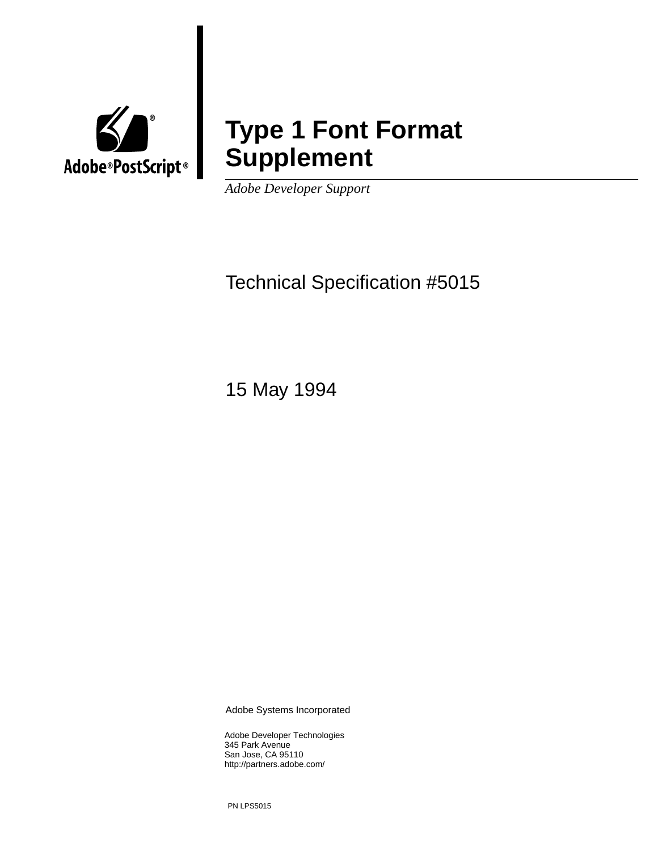

**Type 1 Font Format Supplement**

*Adobe Developer Support* 

Technical Specification #5015

15 May 1994

Adobe Systems Incorporated

Adobe Developer Technologies 345 Park Avenue San Jose, CA 95110 http://partners.adobe.com/

PN LPS5015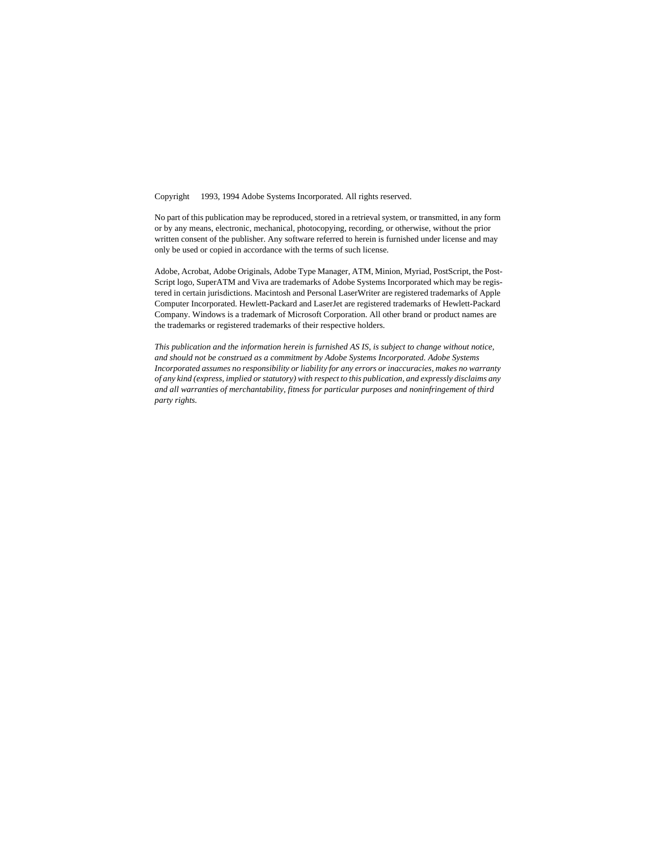Copyright © 1993, 1994 Adobe Systems Incorporated. All rights reserved.

No part of this publication may be reproduced, stored in a retrieval system, or transmitted, in any form or by any means, electronic, mechanical, photocopying, recording, or otherwise, without the prior written consent of the publisher. Any software referred to herein is furnished under license and may only be used or copied in accordance with the terms of such license.

Adobe, Acrobat, Adobe Originals, Adobe Type Manager, ATM, Minion, Myriad, PostScript, the Post-Script logo, SuperATM and Viva are trademarks of Adobe Systems Incorporated which may be registered in certain jurisdictions. Macintosh and Personal LaserWriter are registered trademarks of Apple Computer Incorporated. Hewlett-Packard and LaserJet are registered trademarks of Hewlett-Packard Company. Windows is a trademark of Microsoft Corporation. All other brand or product names are the trademarks or registered trademarks of their respective holders.

*This publication and the information herein is furnished AS IS, is subject to change without notice, and should not be construed as a commitment by Adobe Systems Incorporated. Adobe Systems Incorporated assumes no responsibility or liability for any errors or inaccuracies, makes no warranty of any kind (express, implied or statutory) with respect to this publication, and expressly disclaims any and all warranties of merchantability, fitness for particular purposes and noninfringement of third party rights.*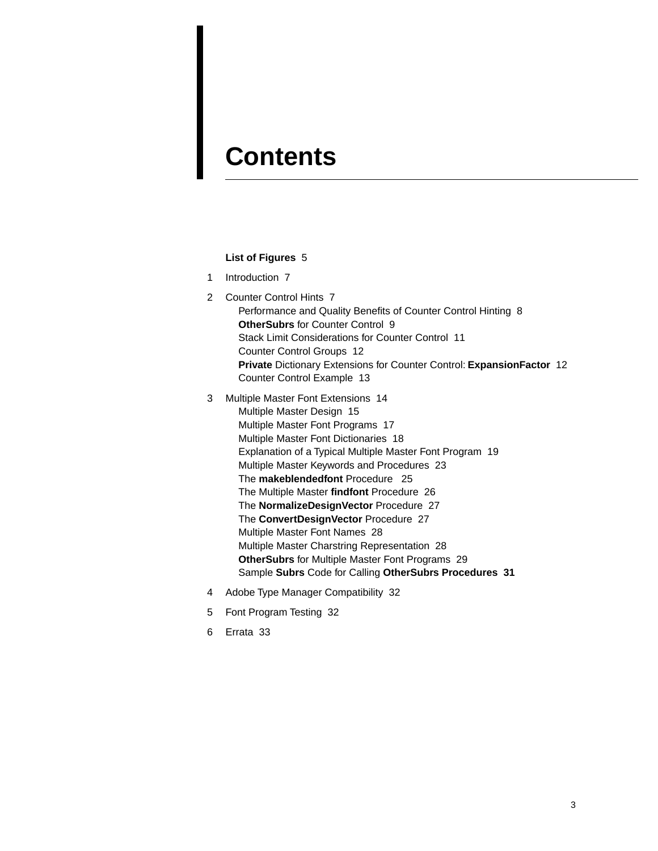## **Contents**

#### **[List of Figures](#page-4-0)** 5

- [1 Introduction 7](#page-6-0)
- [2 Counter Control Hints 7](#page-6-1) [Performance and Quality Benefits of Counter Control Hinting 8](#page-7-0) **OtherSubrs** [for Counter Control 9](#page-8-0) [Stack Limit Considerations for Counter Control 11](#page-10-0) [Counter Control Groups 12](#page-11-0) **Private** [Dictionary Extensions for Counter Control:](#page-11-1) **ExpansionFactor** 12 [Counter Control Example 13](#page-12-0)
- [3 Multiple Master Font Extensions 14](#page-13-0) [Multiple Master Design 15](#page-14-0) [Multiple Master Font Programs 17](#page-16-0) [Multiple Master Font Dictionaries 18](#page-17-0) [Explanation of a Typical Multiple Master Font Program 19](#page-18-0) [Multiple Master Keywords and Procedures 23](#page-22-0) The **[makeblendedfont](#page-24-0)** Procedure 25 [The Multiple Master](#page-25-0) **findfont** Procedure 26 The **[NormalizeDesignVector](#page-26-0)** Procedure 27 The **[ConvertDesignVector](#page-26-1)** Procedure 27 [Multiple Master Font Names 28](#page-27-0) [Multiple Master Charstring Representation 28](#page-27-1) **OtherSubrs** [for Multiple Master Font Programs 29](#page-28-0) Sample **Subrs** Code for Calling **[OtherSubrs Procedures 31](#page-30-0)**
- [4 Adobe Type Manager Compatibility 32](#page-31-0)
- [5 Font Program Testing 32](#page-31-1)
- [6 Errata 33](#page-32-0)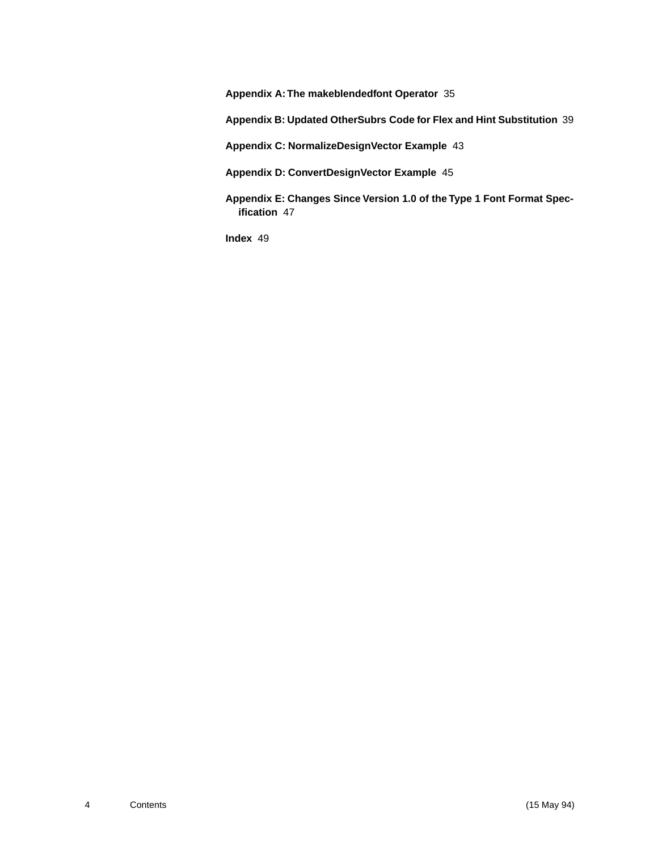**[Appendix A: The makeblendedfont Operator](#page-34-0)** 35

**[Appendix B: Updated OtherSubrs Code for Flex and Hint Substitution](#page-38-0)** 39

**[Appendix C: NormalizeDesignVector Example](#page-42-0)** 43

**[Appendix D: ConvertDesignVector Example](#page-44-0)** 45

**[Appendix E: Changes Since Version 1.0 of the Type 1 Font Format Spec](#page-46-0)ification** 47

**[Index](#page-48-0)** 49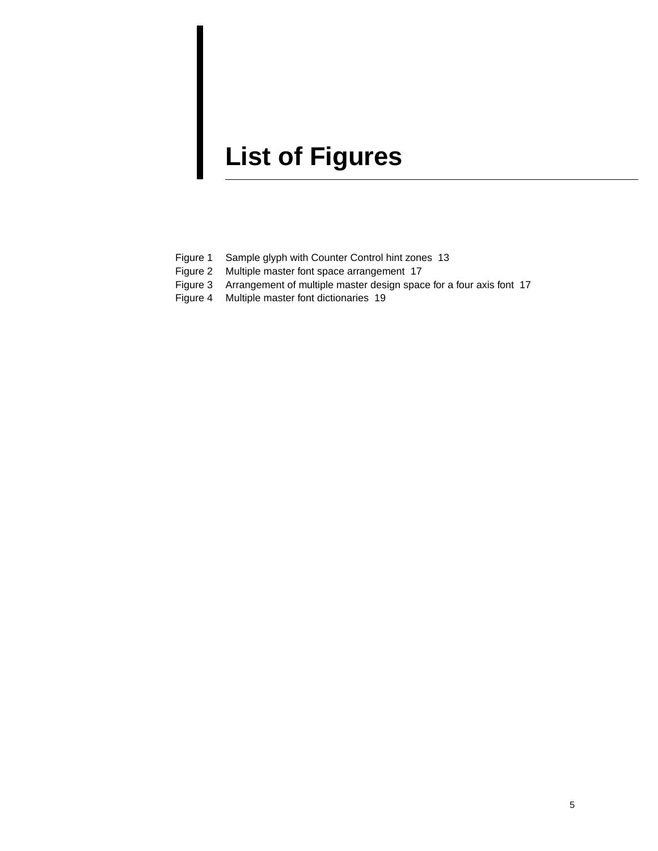# <span id="page-4-0"></span>**List of Figures**

- [Figure 1 Sample glyph with Counter Control hint zones 13](#page-12-1)
- [Figure 2 Multiple master font space arrangement 17](#page-16-1)
- [Figure 3 Arrangement of multiple master design space for a four axis font 17](#page-16-2)
- [Figure 4 Multiple master font dictionaries 19](#page-18-1)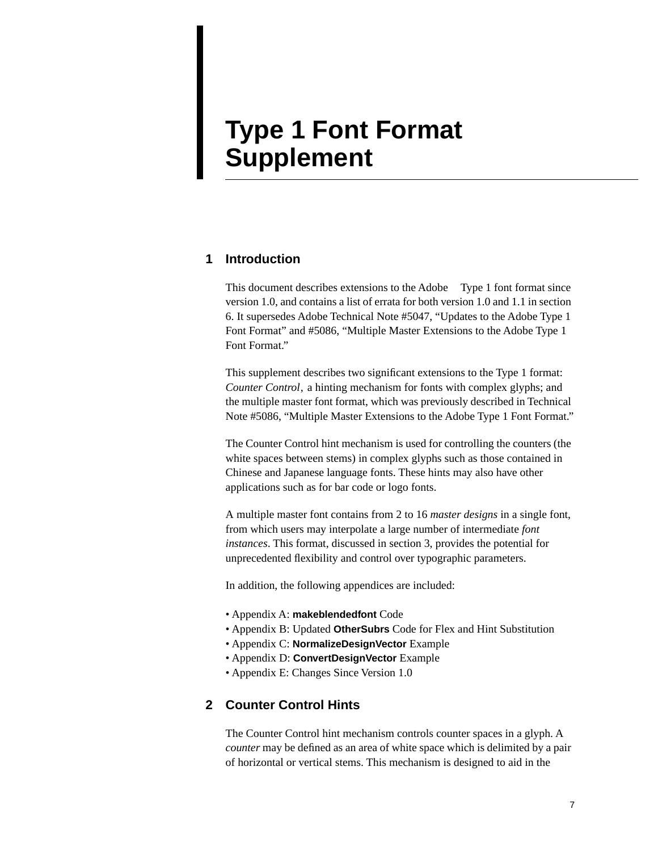## **Type 1 Font Format Supplement**

#### <span id="page-6-0"></span>**1 Introduction**

<span id="page-6-2"></span>This document describes extensions to the Adobe<sup>TM</sup> Type 1 font format since version 1.0, and contains a list of errata for both version 1.0 and 1.1 in section [6](#page-32-0). It supersedes Adobe Technical Note #5047, "Updates to the Adobe Type 1 Font Format" and #5086, "Multiple Master Extensions to the Adobe Type 1 Font Format."

This supplement describes two significant extensions to the Type 1 format: *Counter Control*, a hinting mechanism for fonts with complex glyphs; and the multiple master font format, which was previously described in Technical Note #5086, "Multiple Master Extensions to the Adobe Type 1 Font Format."

The Counter Control hint mechanism is used for controlling the counters (the white spaces between stems) in complex glyphs such as those contained in Chinese and Japanese language fonts. These hints may also have other applications such as for bar code or logo fonts.

A multiple master font contains from 2 to 16 *master designs* in a single font, from which users may interpolate a large number of intermediate *font instances*. This format, discussed in section [3](#page-13-0), provides the potential for unprecedented flexibility and control over typographic parameters.

In addition, the following appendices are included:

- Appendix A: **makeblendedfont** Code
- Appendix B: Updated **OtherSubrs** Code for Flex and Hint Substitution
- Appendix C: **NormalizeDesignVector** Example
- Appendix D: **ConvertDesignVector** Example
- Appendix E: Changes Since Version 1.0

#### <span id="page-6-1"></span>**2 Counter Control Hints**

The Counter Control hint mechanism controls counter spaces in a glyph. A *counter* may be defined as an area of white space which is delimited by a pair of horizontal or vertical stems. This mechanism is designed to aid in the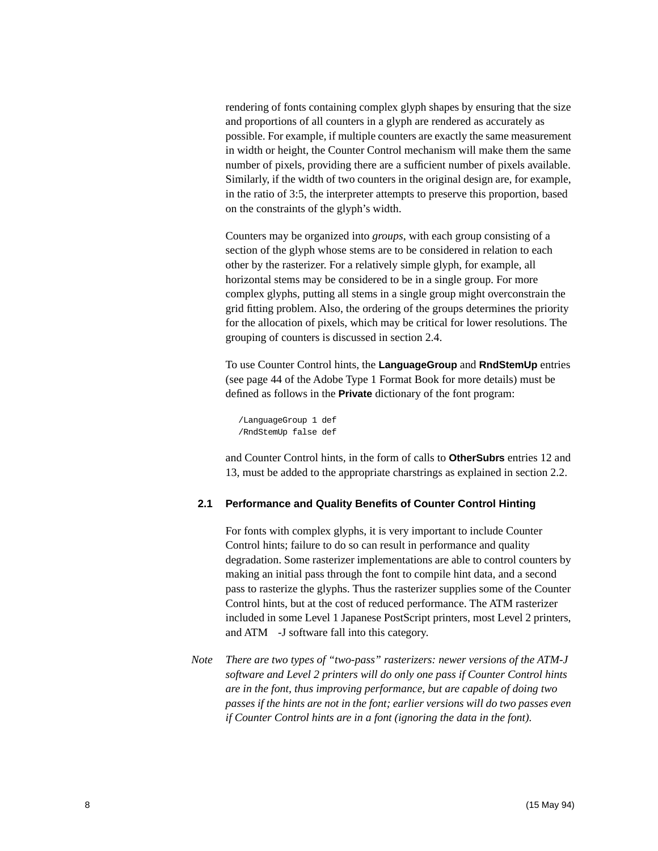<span id="page-7-1"></span>rendering of fonts containing complex glyph shapes by ensuring that the size and proportions of all counters in a glyph are rendered as accurately as possible. For example, if multiple counters are exactly the same measurement in width or height, the Counter Control mechanism will make them the same number of pixels, providing there are a sufficient number of pixels available. Similarly, if the width of two counters in the original design are, for example, in the ratio of 3:5, the interpreter attempts to preserve this proportion, based on the constraints of the glyph's width.

<span id="page-7-4"></span><span id="page-7-3"></span><span id="page-7-2"></span>Counters may be organized into *groups*, with each group consisting of a section of the glyph whose stems are to be considered in relation to each other by the rasterizer. For a relatively simple glyph, for example, all horizontal stems may be considered to be in a single group. For more complex glyphs, putting all stems in a single group might overconstrain the grid fitting problem. Also, the ordering of the groups determines the priority for the allocation of pixels, which may be critical for lower resolutions. The grouping of counters is discussed in section [2.4](#page-11-0).

To use Counter Control hints, the **LanguageGroup** and **RndStemUp** entries (see page 44 of the Adobe Type 1 Format Book for more details) must be defined as follows in the **Private** dictionary of the font program:

```
/LanguageGroup 1 def
/RndStemUp false def
```
and Counter Control hints, in the form of calls to **OtherSubrs** entries 12 and 13, must be added to the appropriate charstrings as explained in section [2.2.](#page-8-0)

#### <span id="page-7-0"></span>**2.1 Performance and Quality Benefits of Counter Control Hinting**

For fonts with complex glyphs, it is very important to include Counter Control hints; failure to do so can result in performance and quality degradation. Some rasterizer implementations are able to control counters by making an initial pass through the font to compile hint data, and a second pass to rasterize the glyphs. Thus the rasterizer supplies some of the Counter Control hints, but at the cost of reduced performance. The ATM rasterizer included in some Level 1 Japanese PostScript printers, most Level 2 printers, and ATM-J software fall into this category.

*Note There are two types of "two-pass" rasterizers: newer versions of the ATM-J software and Level 2 printers will do only one pass if Counter Control hints are in the font, thus improving performance, but are capable of doing two passes if the hints are not in the font; earlier versions will do two passes even if Counter Control hints are in a font (ignoring the data in the font).*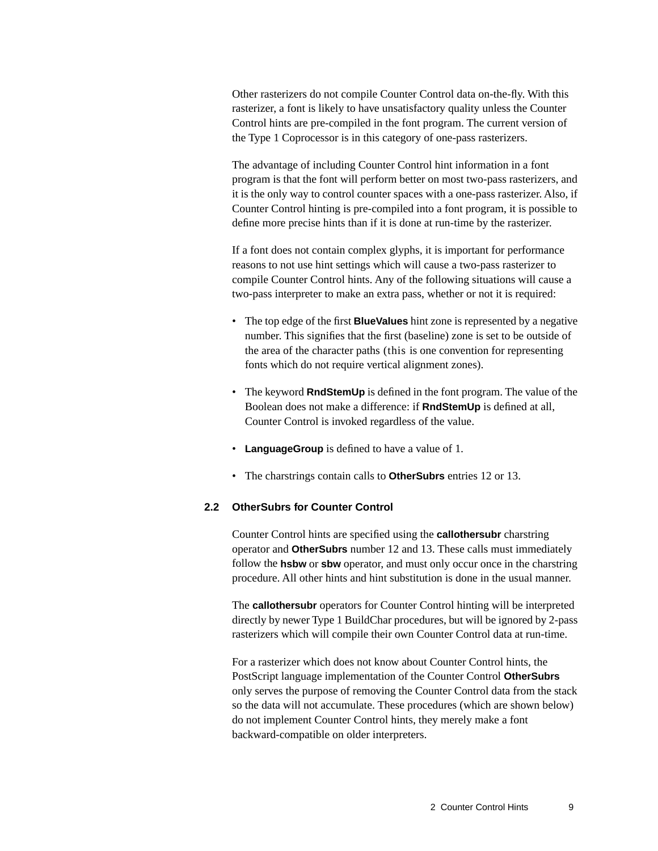Other rasterizers do not compile Counter Control data on-the-fly. With this rasterizer, a font is likely to have unsatisfactory quality unless the Counter Control hints are pre-compiled in the font program. The current version of the Type 1 Coprocessor is in this category of one-pass rasterizers.

The advantage of including Counter Control hint information in a font program is that the font will perform better on most two-pass rasterizers, and it is the only way to control counter spaces with a one-pass rasterizer. Also, if Counter Control hinting is pre-compiled into a font program, it is possible to define more precise hints than if it is done at run-time by the rasterizer.

<span id="page-8-3"></span>If a font does not contain complex glyphs, it is important for performance reasons to not use hint settings which will cause a two-pass rasterizer to compile Counter Control hints. Any of the following situations will cause a two-pass interpreter to make an extra pass, whether or not it is required:

- <span id="page-8-2"></span><span id="page-8-1"></span>• The top edge of the first **BlueValues** hint zone is represented by a negative number. This signifies that the first (baseline) zone is set to be outside of the area of the character paths (this is one convention for representing fonts which do not require vertical alignment zones).
- The keyword **RndStemUp** is defined in the font program. The value of the Boolean does not make a difference: if **RndStemUp** is defined at all, Counter Control is invoked regardless of the value.
- **LanguageGroup** is defined to have a value of 1.
- The charstrings contain calls to **OtherSubrs** entries 12 or 13.

#### <span id="page-8-0"></span>**2.2 OtherSubrs for Counter Control**

Counter Control hints are specified using the **callothersubr** charstring operator and **OtherSubrs** number 12 and 13. These calls must immediately follow the **hsbw** or **sbw** operator, and must only occur once in the charstring procedure. All other hints and hint substitution is done in the usual manner.

The **callothersubr** operators for Counter Control hinting will be interpreted directly by newer Type 1 BuildChar procedures, but will be ignored by 2-pass rasterizers which will compile their own Counter Control data at run-time.

For a rasterizer which does not know about Counter Control hints, the PostScript language implementation of the Counter Control **OtherSubrs** only serves the purpose of removing the Counter Control data from the stack so the data will not accumulate. These procedures (which are shown below) do not implement Counter Control hints, they merely make a font backward-compatible on older interpreters.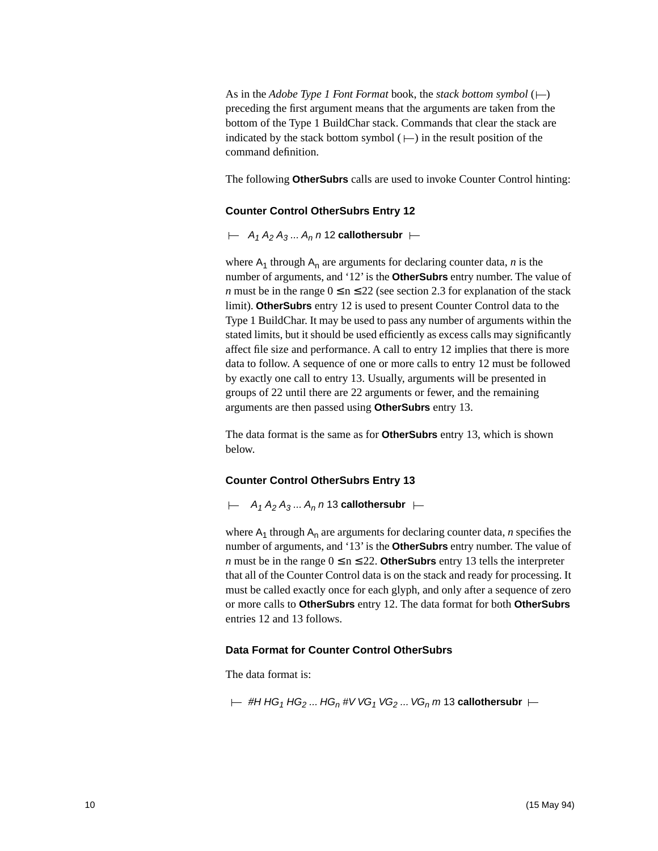As in the *Adobe Type 1 Font Format* book, the *stack bottom symbol*  $(+)$ preceding the first argument means that the arguments are taken from the bottom of the Type 1 BuildChar stack. Commands that clear the stack are indicated by the stack bottom symbol  $($  $\mapsto$ ) in the result position of the command definition.

The following **OtherSubrs** calls are used to invoke Counter Control hinting:

#### **Counter Control OtherSubrs Entry 12**

 $\vdash$  A<sub>1</sub> A<sub>2</sub> A<sub>3</sub> ... A<sub>n</sub> n 12 **callothersubr**  $\vdash$ 

where  $A_1$  through  $A_n$  are arguments for declaring counter data, *n* is the number of arguments, and '12' is the **OtherSubrs** entry number. The value of *n* must be in the range  $0 \le n \le 22$  (see section [2.3](#page-10-0) for explanation of the stack limit). **OtherSubrs** entry 12 is used to present Counter Control data to the Type 1 BuildChar. It may be used to pass any number of arguments within the stated limits, but it should be used efficiently as excess calls may significantly affect file size and performance. A call to entry 12 implies that there is more data to follow. A sequence of one or more calls to entry 12 must be followed by exactly one call to entry 13. Usually, arguments will be presented in groups of 22 until there are 22 arguments or fewer, and the remaining arguments are then passed using **OtherSubrs** entry 13.

The data format is the same as for **OtherSubrs** entry 13, which is shown below.

#### **Counter Control OtherSubrs Entry 13**

 $\vdash$  A<sub>1</sub> A<sub>2</sub> A<sub>3</sub> ... A<sub>n</sub> n 13 **callothersubr**  $\vdash$ 

where  $A_1$  through  $A_n$  are arguments for declaring counter data, *n* specifies the number of arguments, and '13' is the **OtherSubrs** entry number. The value of *n* must be in the range  $0 \le n \le 22$ . **OtherSubrs** entry 13 tells the interpreter that all of the Counter Control data is on the stack and ready for processing. It must be called exactly once for each glyph, and only after a sequence of zero or more calls to **OtherSubrs** entry 12. The data format for both **OtherSubrs** entries 12 and 13 follows.

#### **Data Format for Counter Control OtherSubrs**

The data format is:

$$
\vdash \ \#H\ \mathsf{HG}_1\ \mathsf{HG}_2\ ...\ \mathsf{HG}_n\ \#V\ \mathsf{VG}_1\ \mathsf{VG}_2\ ...\ \mathsf{VG}_n\ m\ 13\ \textsf{calothers}\ \vdash\hspace{0.8cm}\vdash
$$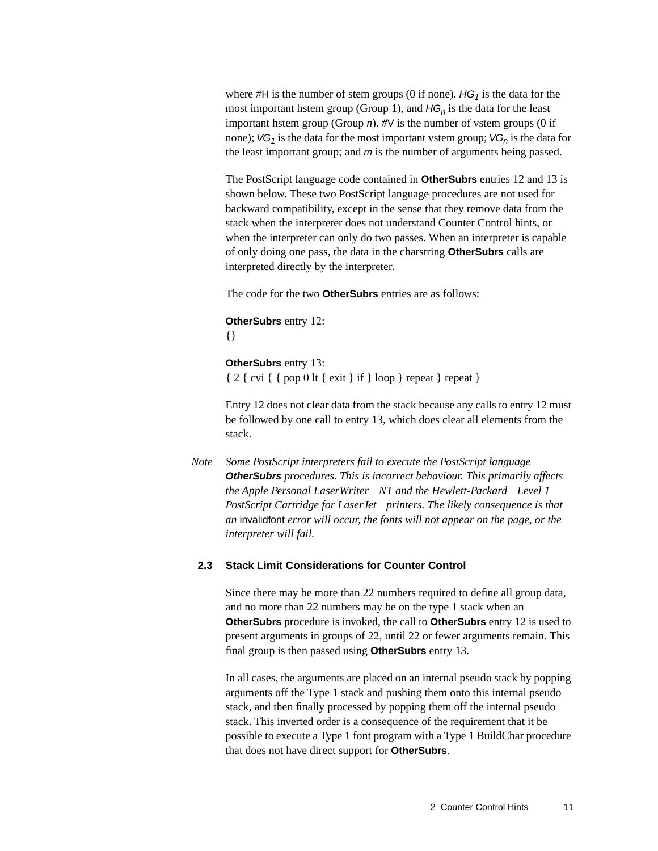where  $#H$  is the number of stem groups (0 if none).  $HG_1$  is the data for the most important hstem group (Group 1), and  $HG_n$  is the data for the least important hstem group (Group  $n$ ).  $\#V$  is the number of vstem groups (0 if none);  $VG_1$  is the data for the most important vstem group;  $VG_n$  is the data for the least important group; and  $m$  is the number of arguments being passed.

The PostScript language code contained in **OtherSubrs** entries 12 and 13 is shown below. These two PostScript language procedures are not used for backward compatibility, except in the sense that they remove data from the stack when the interpreter does not understand Counter Control hints, or when the interpreter can only do two passes. When an interpreter is capable of only doing one pass, the data in the charstring **OtherSubrs** calls are interpreted directly by the interpreter.

The code for the two **OtherSubrs** entries are as follows:

```
OtherSubrs entry 12:
```

```
{}
```

```
OtherSubrs entry 13:
```
 ${ 2 { \text{ cvi } { \text{ pop } 0 \text{ lt } \text{ exit } } \text{ if } } \text{ loop }$  repeat } repeat }

<span id="page-10-1"></span>Entry 12 does not clear data from the stack because any calls to entry 12 must be followed by one call to entry 13, which does clear all elements from the stack.

*Note Some PostScript interpreters fail to execute the PostScript language*  **OtherSubrs** *procedures. This is incorrect behaviour. This primarily affects the Apple Personal LaserWriter NT and the Hewlett-Packard Level 1 PostScript Cartridge for LaserJet*<sup>®</sup> printers. The likely consequence is that *an* invalidfont *error will occur, the fonts will not appear on the page, or the interpreter will fail.*

#### <span id="page-10-0"></span>**2.3 Stack Limit Considerations for Counter Control**

Since there may be more than 22 numbers required to define all group data, and no more than 22 numbers may be on the type 1 stack when an **OtherSubrs** procedure is invoked, the call to **OtherSubrs** entry 12 is used to present arguments in groups of 22, until 22 or fewer arguments remain. This final group is then passed using **OtherSubrs** entry 13.

In all cases, the arguments are placed on an internal pseudo stack by popping arguments off the Type 1 stack and pushing them onto this internal pseudo stack, and then finally processed by popping them off the internal pseudo stack. This inverted order is a consequence of the requirement that it be possible to execute a Type 1 font program with a Type 1 BuildChar procedure that does not have direct support for **OtherSubrs**.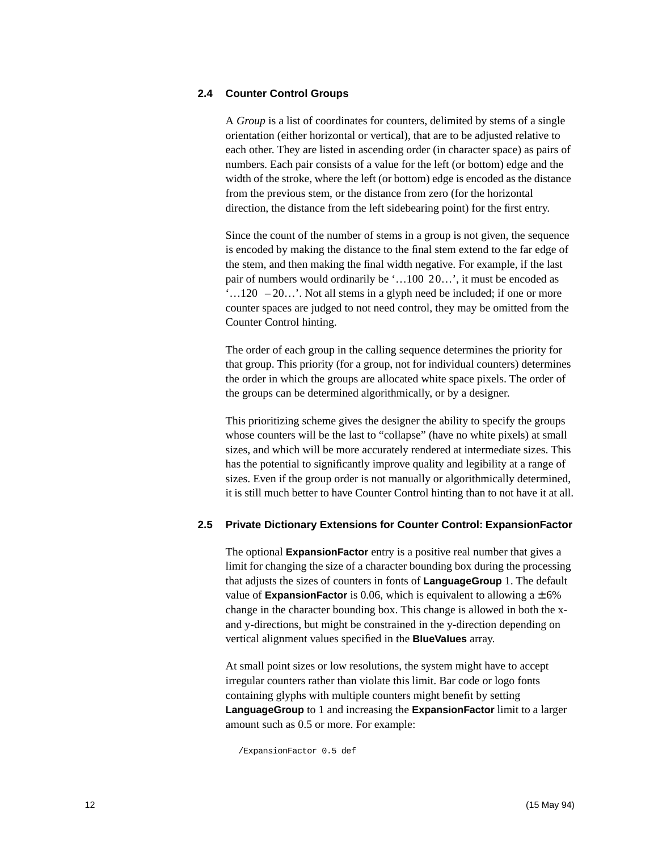#### <span id="page-11-4"></span><span id="page-11-0"></span>**2.4 Counter Control Groups**

A *Group* is a list of coordinates for counters, delimited by stems of a single orientation (either horizontal or vertical), that are to be adjusted relative to each other. They are listed in ascending order (in character space) as pairs of numbers. Each pair consists of a value for the left (or bottom) edge and the width of the stroke, where the left (or bottom) edge is encoded as the distance from the previous stem, or the distance from zero (for the horizontal direction, the distance from the left sidebearing point) for the first entry.

<span id="page-11-5"></span>Since the count of the number of stems in a group is not given, the sequence is encoded by making the distance to the final stem extend to the far edge of the stem, and then making the final width negative. For example, if the last pair of numbers would ordinarily be '…100 20…', it must be encoded as  $\dots$  120 – 20...'. Not all stems in a glyph need be included; if one or more counter spaces are judged to not need control, they may be omitted from the Counter Control hinting.

<span id="page-11-6"></span><span id="page-11-3"></span><span id="page-11-2"></span>The order of each group in the calling sequence determines the priority for that group. This priority (for a group, not for individual counters) determines the order in which the groups are allocated white space pixels. The order of the groups can be determined algorithmically, or by a designer.

This prioritizing scheme gives the designer the ability to specify the groups whose counters will be the last to "collapse" (have no white pixels) at small sizes, and which will be more accurately rendered at intermediate sizes. This has the potential to significantly improve quality and legibility at a range of sizes. Even if the group order is not manually or algorithmically determined, it is still much better to have Counter Control hinting than to not have it at all.

#### <span id="page-11-1"></span>**2.5 Private Dictionary Extensions for Counter Control: ExpansionFactor**

The optional **ExpansionFactor** entry is a positive real number that gives a limit for changing the size of a character bounding box during the processing that adjusts the sizes of counters in fonts of **LanguageGroup** 1. The default value of **ExpansionFactor** is 0.06, which is equivalent to allowing  $a \pm 6\%$ change in the character bounding box. This change is allowed in both the xand y-directions, but might be constrained in the y-direction depending on vertical alignment values specified in the **BlueValues** array.

At small point sizes or low resolutions, the system might have to accept irregular counters rather than violate this limit. Bar code or logo fonts containing glyphs with multiple counters might benefit by setting **LanguageGroup** to 1 and increasing the **ExpansionFactor** limit to a larger amount such as 0.5 or more. For example:

/ExpansionFactor 0.5 def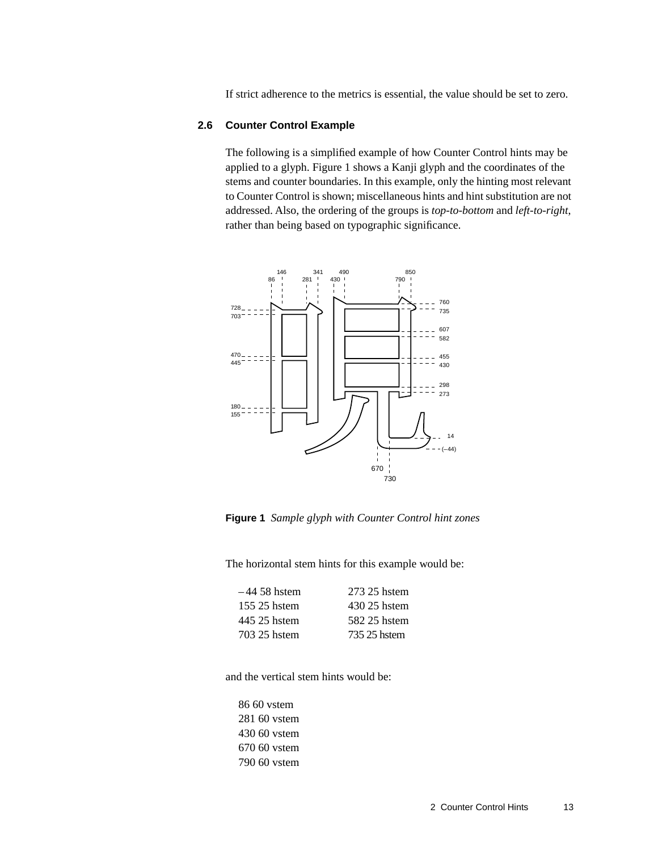<span id="page-12-2"></span>If strict adherence to the metrics is essential, the value should be set to zero.

#### <span id="page-12-0"></span>**2.6 Counter Control Example**

The following is a simplified example of how Counter Control hints may be applied to a glyph. [Figure 1](#page-12-1) shows a Kanji glyph and the coordinates of the stems and counter boundaries. In this example, only the hinting most relevant to Counter Control is shown; miscellaneous hints and hint substitution are not addressed. Also, the ordering of the groups is *top-to-bottom* and *left-to-right*, rather than being based on typographic significance.



<span id="page-12-1"></span>**Figure 1** *Sample glyph with Counter Control hint zones*

The horizontal stem hints for this example would be:

| $-44$ 58 hstem | 273 25 hstem |
|----------------|--------------|
| 155 25 hstem   | 430 25 hstem |
| 445 25 hstem   | 582 25 hstem |
| 703 25 hstem   | 735 25 hstem |
|                |              |

and the vertical stem hints would be: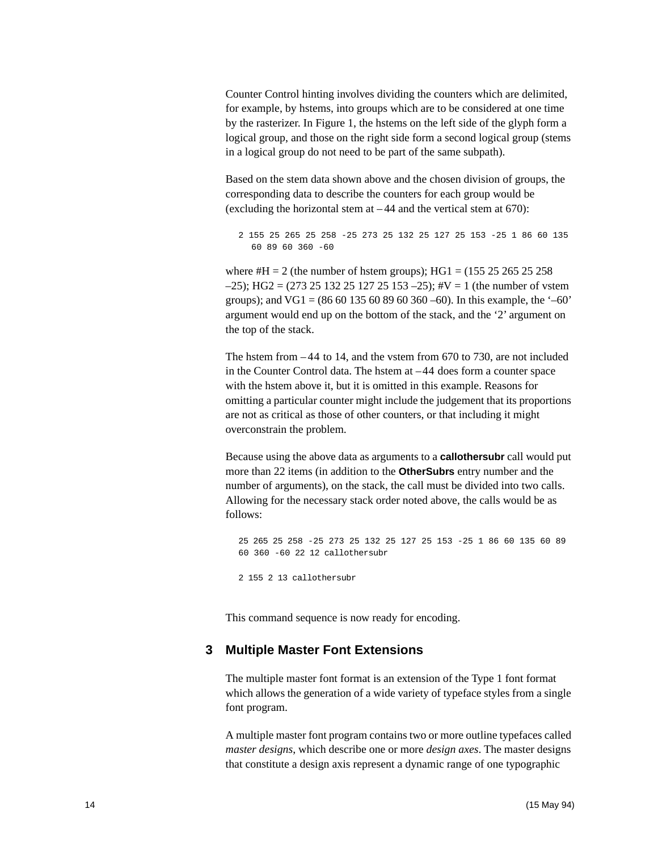Counter Control hinting involves dividing the counters which are delimited, for example, by hstems, into groups which are to be considered at one time by the rasterizer. In Figure 1, the hstems on the left side of the glyph form a logical group, and those on the right side form a second logical group (stems in a logical group do not need to be part of the same subpath).

Based on the stem data shown above and the chosen division of groups, the corresponding data to describe the counters for each group would be (excluding the horizontal stem at  $-44$  and the vertical stem at 670):

```
2 155 25 265 25 258 -25 273 25 132 25 127 25 153 -25 1 86 60 135 
  60 89 60 360 -60
```
where  $#H = 2$  (the number of hstem groups); HG1 = (155 25 265 25 258)  $-25$ ); HG2 = (273 25 132 25 127 25 153 -25); #V = 1 (the number of vstem groups); and VG1 = (86 60 135 60 89 60 360 –60). In this example, the '–60' argument would end up on the bottom of the stack, and the '2' argument on the top of the stack.

The hstem from – 44 to 14, and the vstem from 670 to 730, are not included in the Counter Control data. The hstem at –44 does form a counter space with the hstem above it, but it is omitted in this example. Reasons for omitting a particular counter might include the judgement that its proportions are not as critical as those of other counters, or that including it might overconstrain the problem.

Because using the above data as arguments to a **callothersubr** call would put more than 22 items (in addition to the **OtherSubrs** entry number and the number of arguments), on the stack, the call must be divided into two calls. Allowing for the necessary stack order noted above, the calls would be as follows:

<span id="page-13-2"></span><span id="page-13-1"></span>25 265 25 258 -25 273 25 132 25 127 25 153 -25 1 86 60 135 60 89 60 360 -60 22 12 callothersubr 2 155 2 13 callothersubr

<span id="page-13-3"></span>This command sequence is now ready for encoding.

#### <span id="page-13-0"></span>**3 Multiple Master Font Extensions**

The multiple master font format is an extension of the Type 1 font format which allows the generation of a wide variety of typeface styles from a single font program.

A multiple master font program contains two or more outline typefaces called *master designs*, which describe one or more *design axes*. The master designs that constitute a design axis represent a dynamic range of one typographic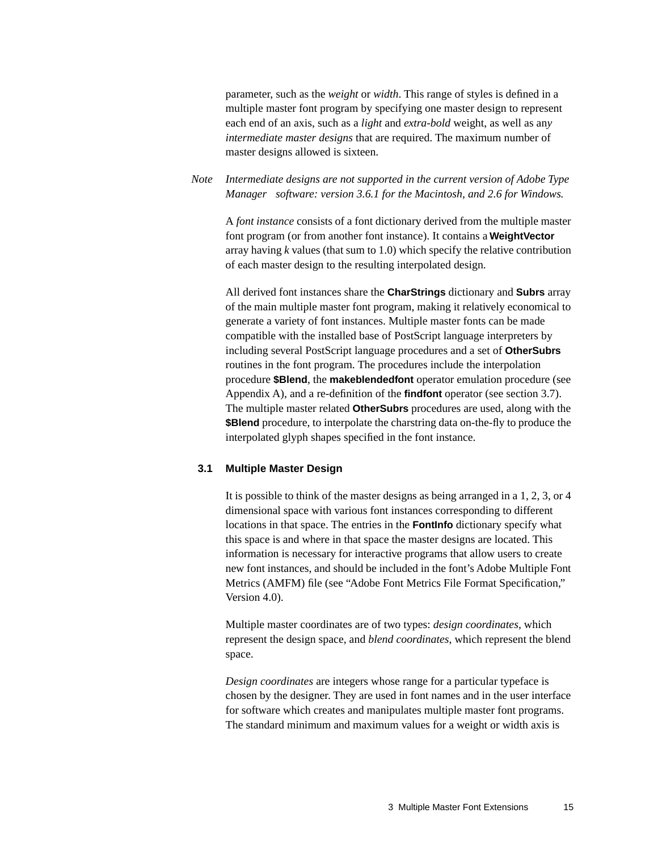<span id="page-14-4"></span>parameter, such as the *weight* or *width*. This range of styles is defined in a multiple master font program by specifying one master design to represent each end of an axis, such as a *light* and *extra-bold* weight, as well as an*y intermediate master designs* that are required. The maximum number of master designs allowed is sixteen.

#### *Note Intermediate designs are not supported in the current version of Adobe Type Manager<sup>™</sup> software: version 3.6.1 for the Macintosh, and 2.6 for Windows.*

A *font instance* consists of a font dictionary derived from the multiple master font program (or from another font instance). It contains a **WeightVector** array having *k* values (that sum to 1.0) which specify the relative contribution of each master design to the resulting interpolated design.

<span id="page-14-3"></span><span id="page-14-1"></span>All derived font instances share the **CharStrings** dictionary and **Subrs** array of the main multiple master font program, making it relatively economical to generate a variety of font instances. Multiple master fonts can be made compatible with the installed base of PostScript language interpreters by including several PostScript language procedures and a set of **OtherSubrs** routines in the font program. The procedures include the interpolation procedure **\$Blend**, the **makeblendedfont** operator emulation procedure (see Appendix A), and a re-definition of the **findfont** operator (see section [3.7\)](#page-25-0). The multiple master related **OtherSubrs** procedures are used, along with the **\$Blend** procedure, to interpolate the charstring data on-the-fly to produce the interpolated glyph shapes specified in the font instance.

#### <span id="page-14-0"></span>**3.1 Multiple Master Design**

<span id="page-14-2"></span>It is possible to think of the master designs as being arranged in a 1, 2, 3, or 4 dimensional space with various font instances corresponding to different locations in that space. The entries in the **FontInfo** dictionary specify what this space is and where in that space the master designs are located. This information is necessary for interactive programs that allow users to create new font instances, and should be included in the font's Adobe Multiple Font Metrics (AMFM) file (see "Adobe Font Metrics File Format Specification," Version 4.0).

Multiple master coordinates are of two types: *design coordinates*, which represent the design space, and *blend coordinates*, which represent the blend space.

*Design coordinates* are integers whose range for a particular typeface is chosen by the designer. They are used in font names and in the user interface for software which creates and manipulates multiple master font programs. The standard minimum and maximum values for a weight or width axis is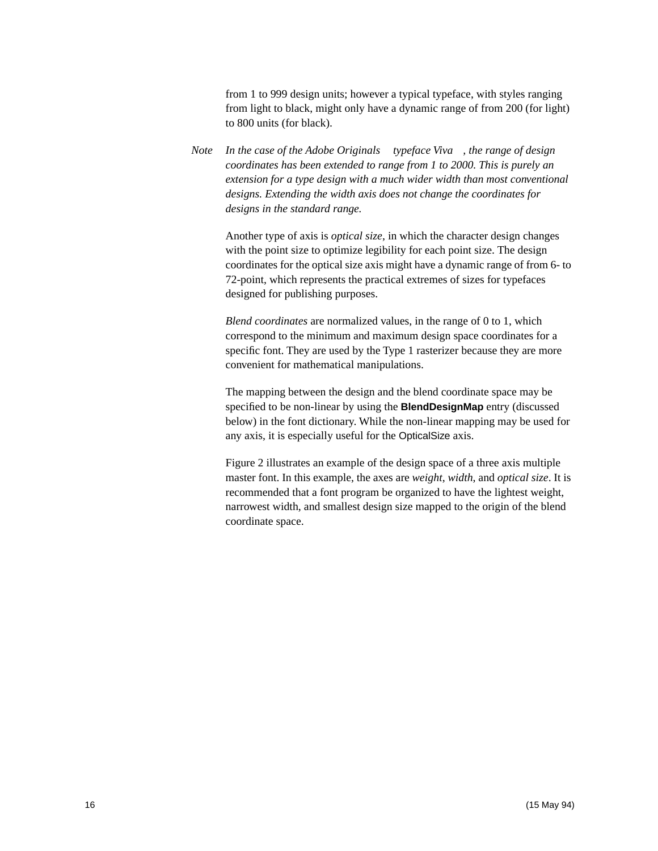from 1 to 999 design units; however a typical typeface, with styles ranging from light to black, might only have a dynamic range of from 200 (for light) to 800 units (for black).

<span id="page-15-0"></span>*Note* In the case of the Adobe Originals<sup> $TM$ </sup> typeface Viva<sup> $TM$ </sup>, the range of design *coordinates has been extended to range from 1 to 2000. This is purely an extension for a type design with a much wider width than most conventional designs. Extending the width axis does not change the coordinates for designs in the standard range.*

Another type of axis is *optical size*, in which the character design changes with the point size to optimize legibility for each point size. The design coordinates for the optical size axis might have a dynamic range of from 6- to 72-point, which represents the practical extremes of sizes for typefaces designed for publishing purposes.

*Blend coordinates* are normalized values, in the range of 0 to 1, which correspond to the minimum and maximum design space coordinates for a specific font. They are used by the Type 1 rasterizer because they are more convenient for mathematical manipulations.

The mapping between the design and the blend coordinate space may be specified to be non-linear by using the **BlendDesignMap** entry (discussed below) in the font dictionary. While the non-linear mapping may be used for any axis, it is especially useful for the OpticalSize axis.

[Figure 2](#page-16-1) illustrates an example of the design space of a three axis multiple master font. In this example, the axes are *weight*, *width*, and *optical size*. It is recommended that a font program be organized to have the lightest weight, narrowest width, and smallest design size mapped to the origin of the blend coordinate space.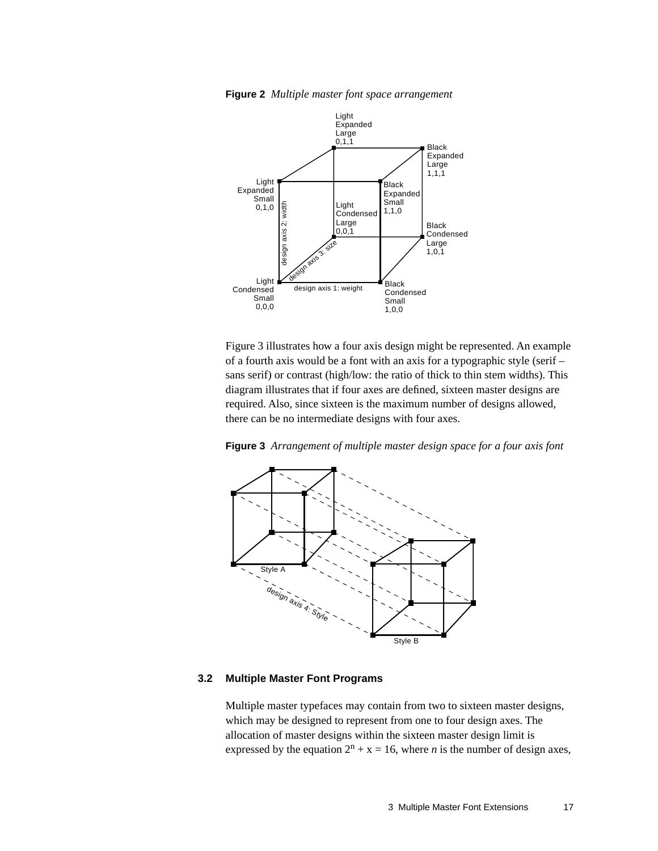**Figure 2** *Multiple master font space arrangement* 

<span id="page-16-1"></span>

<span id="page-16-3"></span>[Figure 3](#page-16-2) illustrates how a four axis design might be represented. An example of a fourth axis would be a font with an axis for a typographic style (serif – sans serif) or contrast (high/low: the ratio of thick to thin stem widths). This diagram illustrates that if four axes are defined, sixteen master designs are required. Also, since sixteen is the maximum number of designs allowed, there can be no intermediate designs with four axes.

<span id="page-16-2"></span>



#### <span id="page-16-0"></span>**3.2 Multiple Master Font Programs**

Multiple master typefaces may contain from two to sixteen master designs, which may be designed to represent from one to four design axes. The allocation of master designs within the sixteen master design limit is expressed by the equation  $2^n + x = 16$ , where *n* is the number of design axes,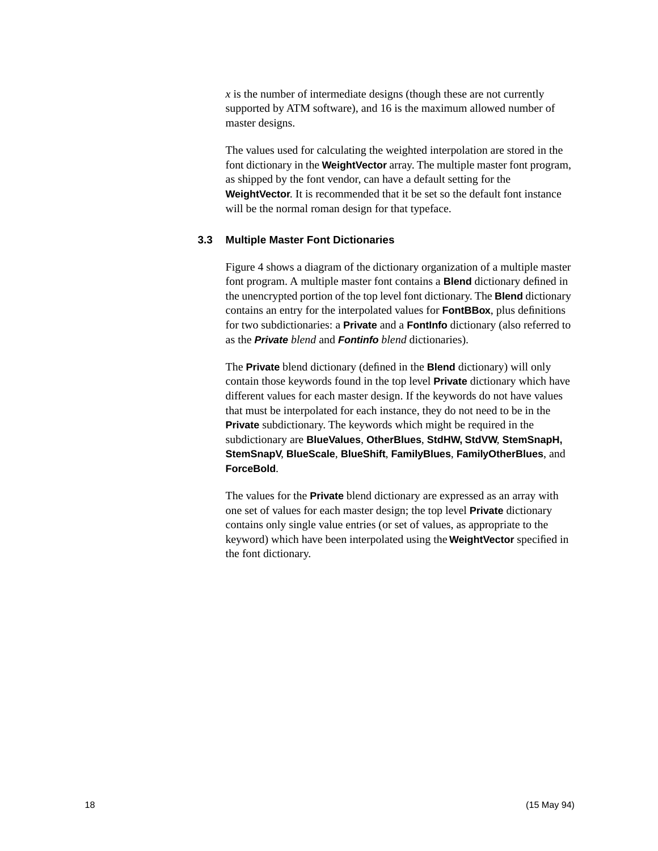<span id="page-17-5"></span><span id="page-17-3"></span> $\dot{x}$  is the number of intermediate designs (though these are not currently supported by ATM software), and 16 is the maximum allowed number of master designs.

<span id="page-17-4"></span><span id="page-17-1"></span>The values used for calculating the weighted interpolation are stored in the font dictionary in the **WeightVector** array. The multiple master font program, as shipped by the font vendor, can have a default setting for the **WeightVector**. It is recommended that it be set so the default font instance will be the normal roman design for that typeface.

#### <span id="page-17-2"></span><span id="page-17-0"></span>**3.3 Multiple Master Font Dictionaries**

[Figure 4](#page-18-1) shows a diagram of the dictionary organization of a multiple master font program. A multiple master font contains a **Blend** dictionary defined in the unencrypted portion of the top level font dictionary. The **Blend** dictionary contains an entry for the interpolated values for **FontBBox**, plus definitions for two subdictionaries: a **Private** and a **FontInfo** dictionary (also referred to as the **Private** *blend* and **Fontinfo** *blend* dictionaries).

The **Private** blend dictionary (defined in the **Blend** dictionary) will only contain those keywords found in the top level **Private** dictionary which have different values for each master design. If the keywords do not have values that must be interpolated for each instance, they do not need to be in the **Private** subdictionary. The keywords which might be required in the subdictionary are **BlueValues**, **OtherBlues**, **StdHW, StdVW**, **StemSnapH, StemSnapV**, **BlueScale**, **BlueShift**, **FamilyBlues**, **FamilyOtherBlues**, and **ForceBold**.

The values for the **Private** blend dictionary are expressed as an array with one set of values for each master design; the top level **Private** dictionary contains only single value entries (or set of values, as appropriate to the keyword) which have been interpolated using the **WeightVector** specified in the font dictionary.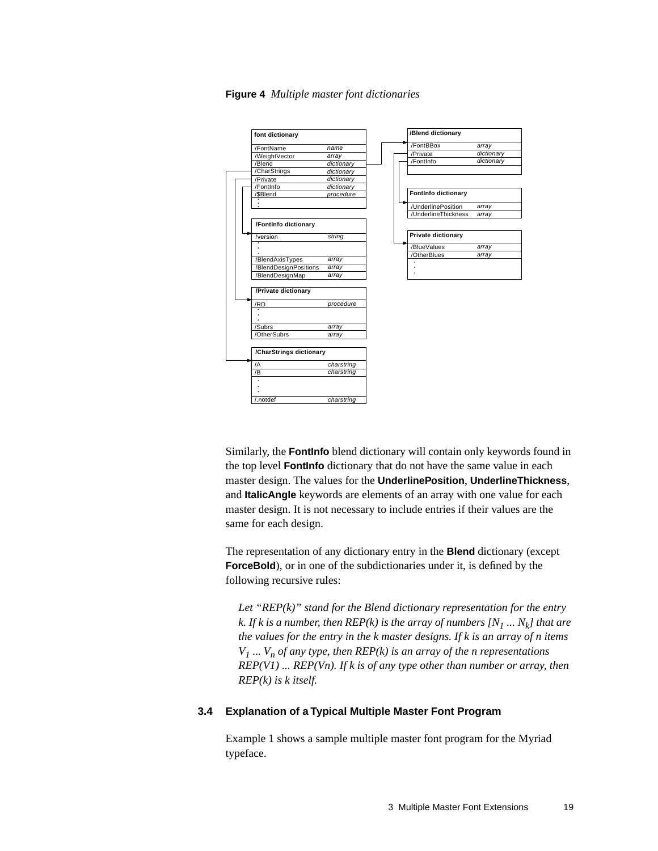<span id="page-18-1"></span>

**Figure 4** *Multiple master font dictionaries*

<span id="page-18-2"></span>Similarly, the **FontInfo** blend dictionary will contain only keywords found in the top level **FontInfo** dictionary that do not have the same value in each master design. The values for the **UnderlinePosition**, **UnderlineThickness**, and **ItalicAngle** keywords are elements of an array with one value for each master design. It is not necessary to include entries if their values are the same for each design.

The representation of any dictionary entry in the **Blend** dictionary (except **ForceBold**), or in one of the subdictionaries under it, is defined by the following recursive rules:

<span id="page-18-3"></span>*Let "REP(k)" stand for the Blend dictionary representation for the entry k. If k is a number, then REP(k) is the array of numbers*  $[N_1 \dots N_k]$  *that are the values for the entry in the k master designs. If k is an array of n items*   $V_1$  ...  $V_n$  *of any type, then REP(k) is an array of the n representations REP(V1) ... REP(Vn). If k is of any type other than number or array, then REP(k) is k itself.*

#### <span id="page-18-0"></span>**3.4 Explanation of a Typical Multiple Master Font Program**

Example 1 shows a sample multiple master font program for the Myriad<sup>TM</sup> typeface.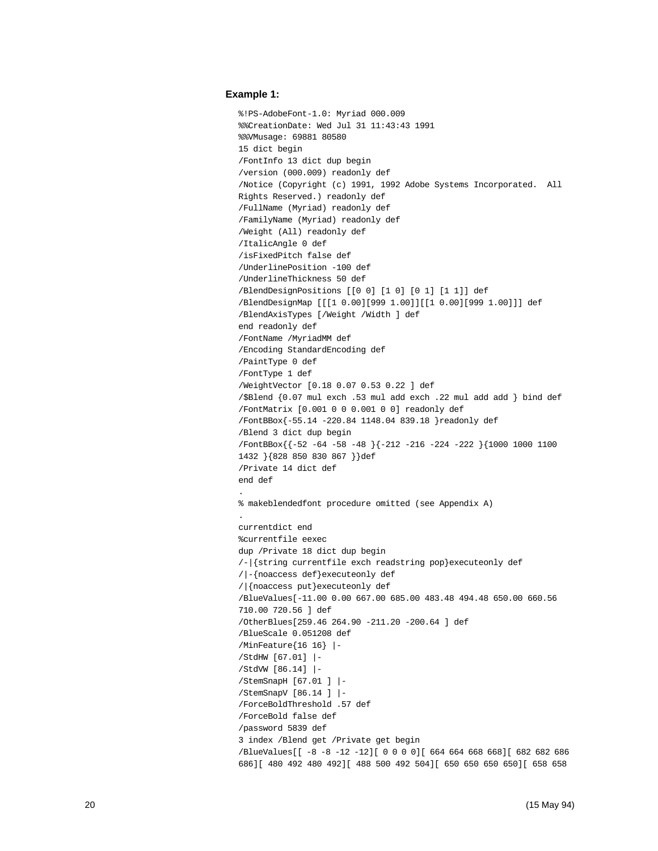#### **Example 1:**

```
%!PS-AdobeFont-1.0: Myriad 000.009
%%CreationDate: Wed Jul 31 11:43:43 1991
%%VMusage: 69881 80580
15 dict begin
/FontInfo 13 dict dup begin
/version (000.009) readonly def
/Notice (Copyright (c) 1991, 1992 Adobe Systems Incorporated. All 
Rights Reserved.) readonly def
/FullName (Myriad) readonly def
/FamilyName (Myriad) readonly def
/Weight (All) readonly def
/ItalicAngle 0 def
/isFixedPitch false def
/UnderlinePosition -100 def
/UnderlineThickness 50 def
/BlendDesignPositions [[0 0] [1 0] [0 1] [1 1]] def
/BlendDesignMap [[[1 0.00][999 1.00]][[1 0.00][999 1.00]]] def
/BlendAxisTypes [/Weight /Width ] def
end readonly def
/FontName /MyriadMM def
/Encoding StandardEncoding def
/PaintType 0 def
/FontType 1 def
/WeightVector [0.18 0.07 0.53 0.22 ] def
/$Blend {0.07 mul exch .53 mul add exch .22 mul add add } bind def
/FontMatrix [0.001 0 0 0.001 0 0] readonly def
/FontBBox{-55.14 -220.84 1148.04 839.18 }readonly def
/Blend 3 dict dup begin
/FontBBox{{-52 -64 -58 -48 }{-212 -216 -224 -222 }{1000 1000 1100 
1432 }{828 850 830 867 }}def
/Private 14 dict def
end def
.
% makeblendedfont procedure omitted (see Appendix A)
.
currentdict end
%currentfile eexec
dup /Private 18 dict dup begin
/-|{string currentfile exch readstring pop}executeonly def
/|-{noaccess def}executeonly def
/|{noaccess put}executeonly def
/BlueValues[-11.00 0.00 667.00 685.00 483.48 494.48 650.00 660.56 
710.00 720.56 ] def
/OtherBlues[259.46 264.90 -211.20 -200.64 ] def
/BlueScale 0.051208 def
/MinFeature{16 16} |-
/StdHW [67.01] |-
/StdVW [86.14] |-
/StemSnapH [67.01 ] |-
/StemSnapV [86.14 ] |-
/ForceBoldThreshold .57 def
/ForceBold false def
/password 5839 def
3 index /Blend get /Private get begin
/BlueValues[[ -8 -8 -12 -12][ 0 0 0 0][ 664 664 668 668][ 682 682 686 
686][ 480 492 480 492][ 488 500 492 504][ 650 650 650 650][ 658 658
```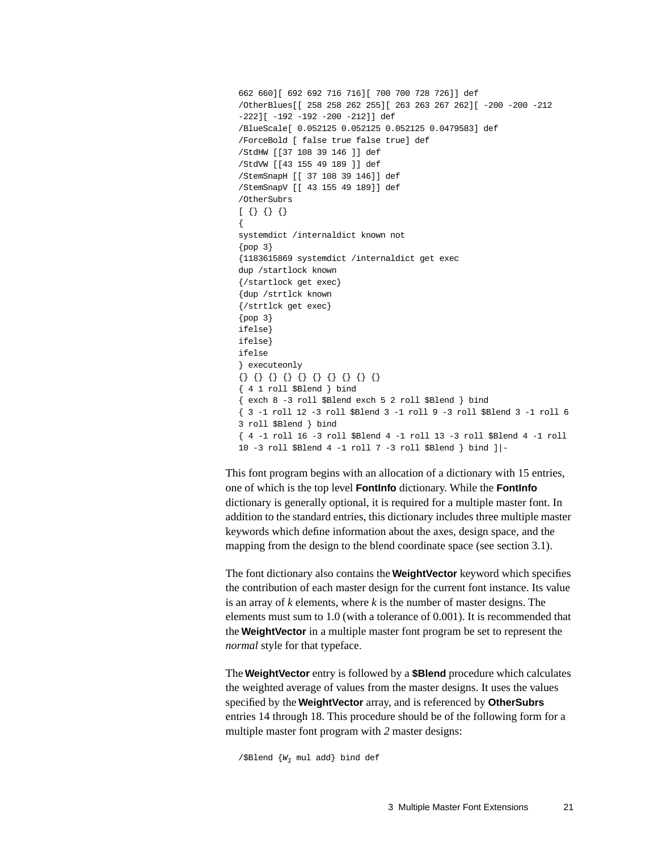```
662 660][ 692 692 716 716][ 700 700 728 726]] def
/OtherBlues[[ 258 258 262 255][ 263 263 267 262][ -200 -200 -212 
-222][ -192 -192 -200 -212]] def
/BlueScale[ 0.052125 0.052125 0.052125 0.0479583] def
/ForceBold [ false true false true] def
/StdHW [[37 108 39 146 ]] def
/StdVW [[43 155 49 189 ]] def
/StemSnapH [[ 37 108 39 146]] def
/StemSnapV [[ 43 155 49 189]] def
/OtherSubrs
[ { } { } { } { } { } { } { } { } { }{
systemdict /internaldict known not
\{pop\}{1183615869 systemdict /internaldict get exec
dup /startlock known
{/startlock get exec}
{dup /strtlck known
{/strtlck get exec}
\{pop\}ifelse}
ifelse}
ifelse
} executeonly
{} {} {} {} {} {} {} {} {} {}
{ 4 1 roll $Blend } bind
{ exch 8 -3 roll $Blend exch 5 2 roll $Blend } bind
{ 3 -1 roll 12 -3 roll $Blend 3 -1 roll 9 -3 roll $Blend 3 -1 roll 6 
3 roll $Blend } bind
{ 4 -1 roll 16 -3 roll $Blend 4 -1 roll 13 -3 roll $Blend 4 -1 roll 
10 -3 roll $Blend 4 -1 roll 7 -3 roll $Blend } bind ]|-
```
<span id="page-20-0"></span>This font program begins with an allocation of a dictionary with 15 entries, one of which is the top level **FontInfo** dictionary. While the **FontInfo** dictionary is generally optional, it is required for a multiple master font. In addition to the standard entries, this dictionary includes three multiple master keywords which define information about the axes, design space, and the mapping from the design to the blend coordinate space (see [section 3.1](#page-14-0)).

The font dictionary also contains the **WeightVector** keyword which specifies the contribution of each master design for the current font instance. Its value is an array of *k* elements, where *k* is the number of master designs. The elements must sum to 1.0 (with a tolerance of 0.001). It is recommended that the **WeightVector** in a multiple master font program be set to represent the *normal* style for that typeface.

The **WeightVector** entry is followed by a **\$Blend** procedure which calculates the weighted average of values from the master designs. It uses the values specified by the **WeightVector** array, and is referenced by **OtherSubrs** entries 14 through 18. This procedure should be of the following form for a multiple master font program with *2* master designs:

/\$Blend  $\{W_1 \text{ mul } \text{add}\}$  bind def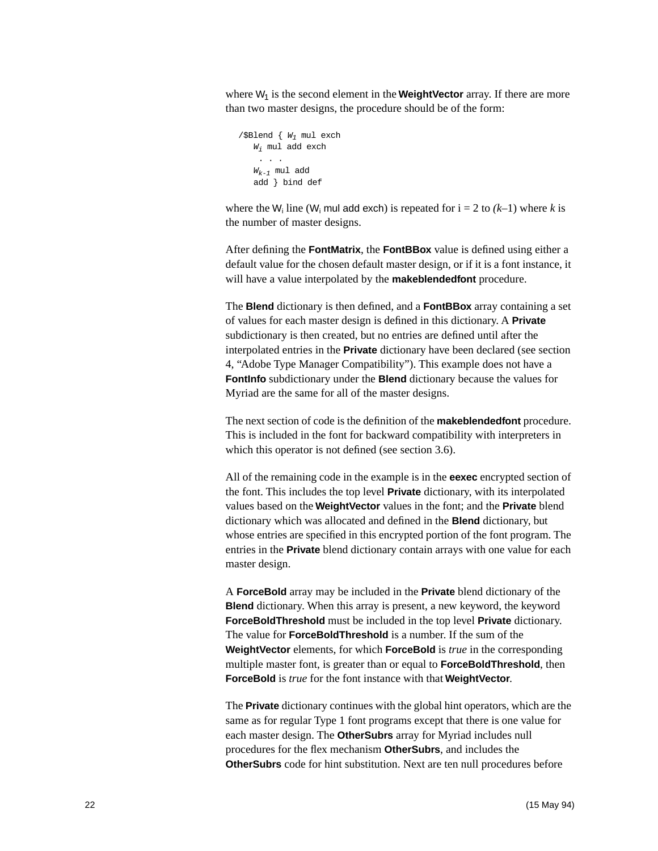where W<sub>1</sub> is the second element in the **WeightVector** array. If there are more than two master designs, the procedure should be of the form:

```
/$Blend \{ W_1 \text{ mul } \text{exch} \}W_i mul add exch
     . . .
   W_{k-1} mul add
   add } bind def
```
where the  $W_i$  line ( $W_i$  mul add exch) is repeated for  $i = 2$  to  $(k-1)$  where k is the number of master designs.

After defining the **FontMatrix**, the **FontBBox** value is defined using either a default value for the chosen default master design, or if it is a font instance, it will have a value interpolated by the **makeblendedfont** procedure.

The **Blend** dictionary is then defined, and a **FontBBox** array containing a set of values for each master design is defined in this dictionary. A **Private** subdictionary is then created, but no entries are defined until after the interpolated entries in the **Private** dictionary have been declared (see [section](#page-31-0)  [4, "Adobe Type Manager Compatibility](#page-31-0)"). This example does not have a **FontInfo** subdictionary under the **Blend** dictionary because the values for Myriad are the same for all of the master designs.

The next section of code is the definition of the **makeblendedfont** procedure. This is included in the font for backward compatibility with interpreters in which this operator is not defined (see [section 3.6](#page-24-0)).

All of the remaining code in the example is in the **eexec** encrypted section of the font. This includes the top level **Private** dictionary, with its interpolated values based on the **WeightVector** values in the font; and the **Private** blend dictionary which was allocated and defined in the **Blend** dictionary, but whose entries are specified in this encrypted portion of the font program. The entries in the **Private** blend dictionary contain arrays with one value for each master design.

A **ForceBold** array may be included in the **Private** blend dictionary of the **Blend** dictionary. When this array is present, a new keyword, the keyword **ForceBoldThreshold** must be included in the top level **Private** dictionary. The value for **ForceBoldThreshold** is a number. If the sum of the **WeightVector** elements, for which **ForceBold** is *true* in the corresponding multiple master font, is greater than or equal to **ForceBoldThreshold**, then **ForceBold** is *true* for the font instance with that **WeightVector**.

The **Private** dictionary continues with the global hint operators, which are the same as for regular Type 1 font programs except that there is one value for each master design. The **OtherSubrs** array for Myriad includes null procedures for the flex mechanism **OtherSubrs**, and includes the **OtherSubrs** code for hint substitution. Next are ten null procedures before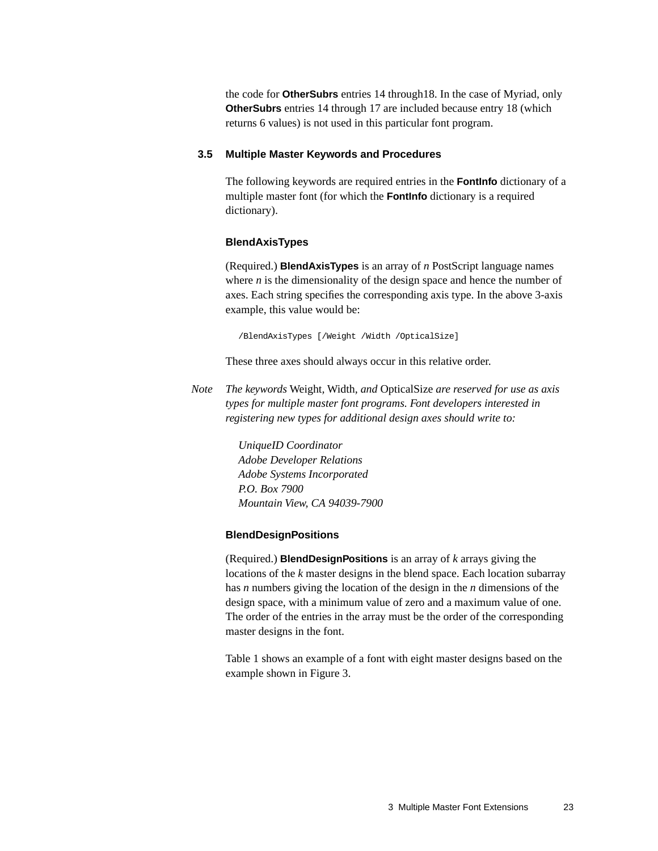<span id="page-22-4"></span><span id="page-22-3"></span><span id="page-22-1"></span>the code for **OtherSubrs** entries 14 through18. In the case of Myriad, only **OtherSubrs** entries 14 through 17 are included because entry 18 (which returns 6 values) is not used in this particular font program.

#### <span id="page-22-0"></span>**3.5 Multiple Master Keywords and Procedures**

The following keywords are required entries in the **FontInfo** dictionary of a multiple master font (for which the **FontInfo** dictionary is a required dictionary).

#### **BlendAxisTypes**

(Required.) **BlendAxisTypes** is an array of *n* PostScript language names where *n* is the dimensionality of the design space and hence the number of axes. Each string specifies the corresponding axis type. In the above 3-axis example, this value would be:

/BlendAxisTypes [/Weight /Width /OpticalSize]

<span id="page-22-2"></span>These three axes should always occur in this relative order.

*Note The keywords* Weight*,* Width*, and* OpticalSize *are reserved for use as axis types for multiple master font programs. Font developers interested in registering new types for additional design axes should write to:*

> *UniqueID Coordinator Adobe Developer Relations Adobe Systems Incorporated P.O. Box 7900 Mountain View, CA 94039-7900*

#### **BlendDesignPositions**

(Required.) **BlendDesignPositions** is an array of *k* arrays giving the locations of the *k* master designs in the blend space. Each location subarray has *n* numbers giving the location of the design in the *n* dimensions of the design space, with a minimum value of zero and a maximum value of one. The order of the entries in the array must be the order of the corresponding master designs in the font.

[Table 1](#page-23-0) shows an example of a font with eight master designs based on the example shown in [Figure 3.](#page-16-2)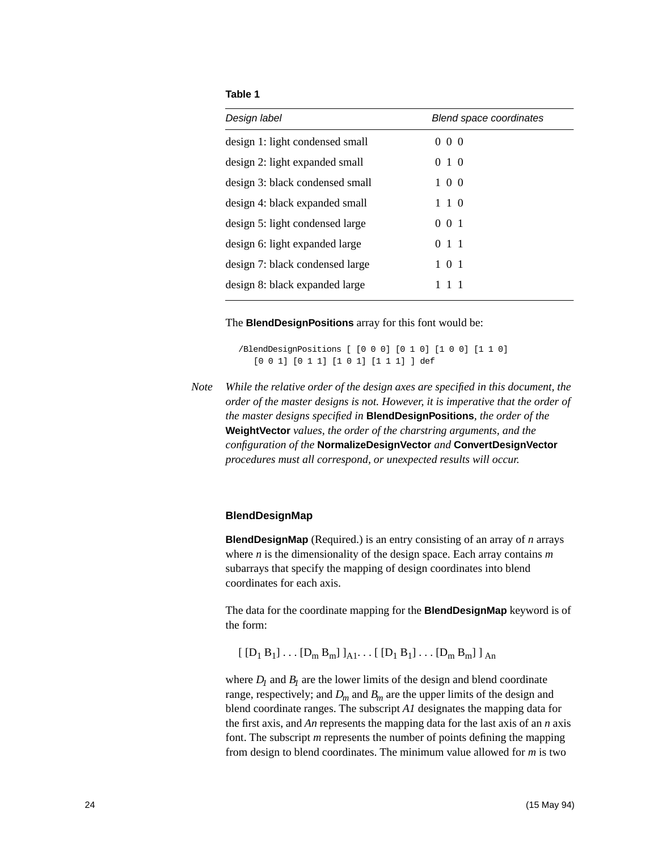#### **Table 1**

<span id="page-23-0"></span>

| Design label                    | <b>Blend space coordinates</b> |
|---------------------------------|--------------------------------|
| design 1: light condensed small | $0\,0\,0$                      |
| design 2: light expanded small  | 010                            |
| design 3: black condensed small | $1 \; 0 \; 0$                  |
| design 4: black expanded small  | 110                            |
| design 5: light condensed large | $0 \t0 \t1$                    |
| design 6: light expanded large  | 011                            |
| design 7: black condensed large | 1 0 1                          |
| design 8: black expanded large  | 111                            |

The **BlendDesignPositions** array for this font would be:

/BlendDesignPositions [ [0 0 0] [0 1 0] [1 0 0] [1 1 0] [0 0 1] [0 1 1] [1 0 1] [1 1 1] ] def

<span id="page-23-1"></span>*Note While the relative order of the design axes are specified in this document, the order of the master designs is not. However, it is imperative that the order of the master designs specified in* **BlendDesignPositions***, the order of the*  **WeightVector** *values, the order of the charstring arguments, and the configuration of the* **NormalizeDesignVector** *and* **ConvertDesignVector** *procedures must all correspond, or unexpected results will occur.*

#### **BlendDesignMap**

**BlendDesignMap** (Required.) is an entry consisting of an array of *n* arrays where *n* is the dimensionality of the design space. Each array contains *m* subarrays that specify the mapping of design coordinates into blend coordinates for each axis.

The data for the coordinate mapping for the **BlendDesignMap** keyword is of the form:

 $[ [D_1 B_1] \dots [D_m B_m] ]_{A1} \dots [ [D_1 B_1] \dots [D_m B_m] ]_{A_n}$ 

where  $D_1$  and  $B_1$  are the lower limits of the design and blend coordinate range, respectively; and  $D_m$  and  $B_m$  are the upper limits of the design and blend coordinate ranges. The subscript *A1* designates the mapping data for the first axis, and *An* represents the mapping data for the last axis of an *n* axis font. The subscript *m* represents the number of points defining the mapping from design to blend coordinates. The minimum value allowed for *m* is two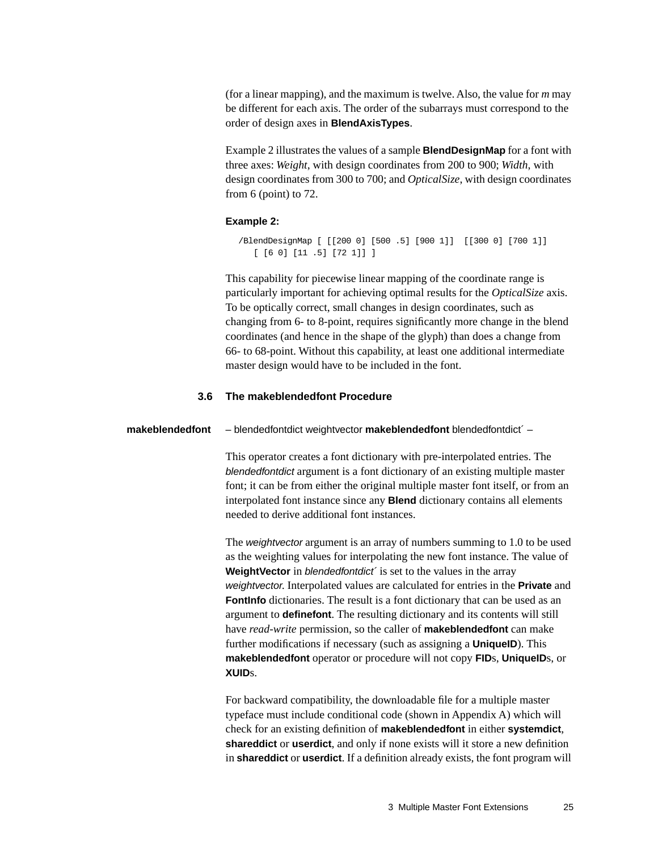(for a linear mapping), and the maximum is twelve. Also, the value for *m* may be different for each axis. The order of the subarrays must correspond to the order of design axes in **BlendAxisTypes**.

Example 2 illustrates the values of a sample **BlendDesignMap** for a font with three axes: *Weight*, with design coordinates from 200 to 900; *Width*, with design coordinates from 300 to 700; and *OpticalSize*, with design coordinates from 6 (point) to 72.

#### **Example 2:**

```
/BlendDesignMap [ [[200 0] [500 .5] [900 1]] [[300 0] [700 1]] 
   [ [6 0] [11 .5] [72 1]] ]
```
This capability for piecewise linear mapping of the coordinate range is particularly important for achieving optimal results for the *OpticalSize* axis. To be optically correct, small changes in design coordinates, such as changing from 6- to 8-point, requires significantly more change in the blend coordinates (and hence in the shape of the glyph) than does a change from 66- to 68-point. Without this capability, at least one additional intermediate master design would have to be included in the font.

#### **3.6 The makeblendedfont Procedure**

#### <span id="page-24-0"></span>**makeblendedfont** – blendedfontdict weightvector **makeblendedfont** blendedfontdict´ –

This operator creates a font dictionary with pre-interpolated entries. The blendedfontdict argument is a font dictionary of an existing multiple master font; it can be from either the original multiple master font itself, or from an interpolated font instance since any **Blend** dictionary contains all elements needed to derive additional font instances.

The *weightvector* argument is an array of numbers summing to 1.0 to be used as the weighting values for interpolating the new font instance. The value of **WeightVector** in *blendedfontdict* is set to the values in the array weightvector. Interpolated values are calculated for entries in the **Private** and **FontInfo** dictionaries. The result is a font dictionary that can be used as an argument to **definefont**. The resulting dictionary and its contents will still have *read-write* permission, so the caller of **makeblendedfont** can make further modifications if necessary (such as assigning a **UniqueID**). This **makeblendedfont** operator or procedure will not copy **FID**s, **UniqueID**s, or **XUID**s.

For backward compatibility, the downloadable file for a multiple master typeface must include conditional code (shown in Appendix A) which will check for an existing definition of **makeblendedfont** in either **systemdict**, **shareddict** or **userdict**, and only if none exists will it store a new definition in **shareddict** or **userdict**. If a definition already exists, the font program will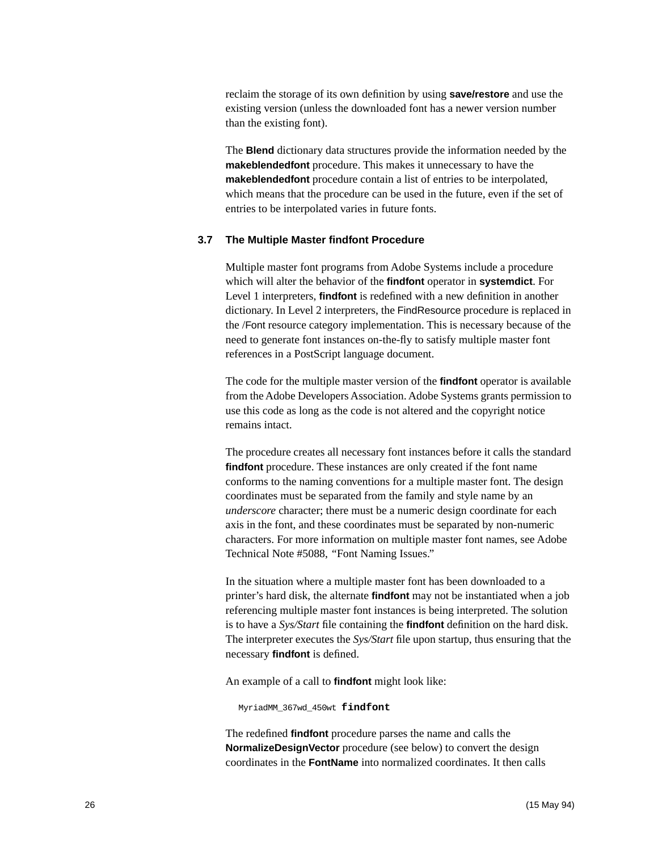<span id="page-25-1"></span>reclaim the storage of its own definition by using **save/restore** and use the existing version (unless the downloaded font has a newer version number than the existing font).

The **Blend** dictionary data structures provide the information needed by the **makeblendedfont** procedure. This makes it unnecessary to have the **makeblendedfont** procedure contain a list of entries to be interpolated. which means that the procedure can be used in the future, even if the set of entries to be interpolated varies in future fonts.

#### <span id="page-25-0"></span>**3.7 The Multiple Master findfont Procedure**

Multiple master font programs from Adobe Systems include a procedure which will alter the behavior of the **findfont** operator in **systemdict**. For Level 1 interpreters, **findfont** is redefined with a new definition in another dictionary. In Level 2 interpreters, the FindResource procedure is replaced in the /Font resource category implementation. This is necessary because of the need to generate font instances on-the-fly to satisfy multiple master font references in a PostScript language document.

The code for the multiple master version of the **findfont** operator is available from the Adobe Developers Association. Adobe Systems grants permission to use this code as long as the code is not altered and the copyright notice remains intact.

The procedure creates all necessary font instances before it calls the standard **findfont** procedure. These instances are only created if the font name conforms to the naming conventions for a multiple master font. The design coordinates must be separated from the family and style name by an *underscore* character; there must be a numeric design coordinate for each axis in the font, and these coordinates must be separated by non-numeric characters. For more information on multiple master font names, see Adobe Technical Note #5088, *"*Font Naming Issues."

In the situation where a multiple master font has been downloaded to a printer's hard disk, the alternate **findfont** may not be instantiated when a job referencing multiple master font instances is being interpreted. The solution is to have a *Sys/Start* file containing the **findfont** definition on the hard disk. The interpreter executes the *Sys/Start* file upon startup, thus ensuring that the necessary **findfont** is defined.

An example of a call to **findfont** might look like:

MyriadMM\_367wd\_450wt **findfont**

The redefined **findfont** procedure parses the name and calls the **NormalizeDesignVector** procedure (see below) to convert the design coordinates in the **FontName** into normalized coordinates. It then calls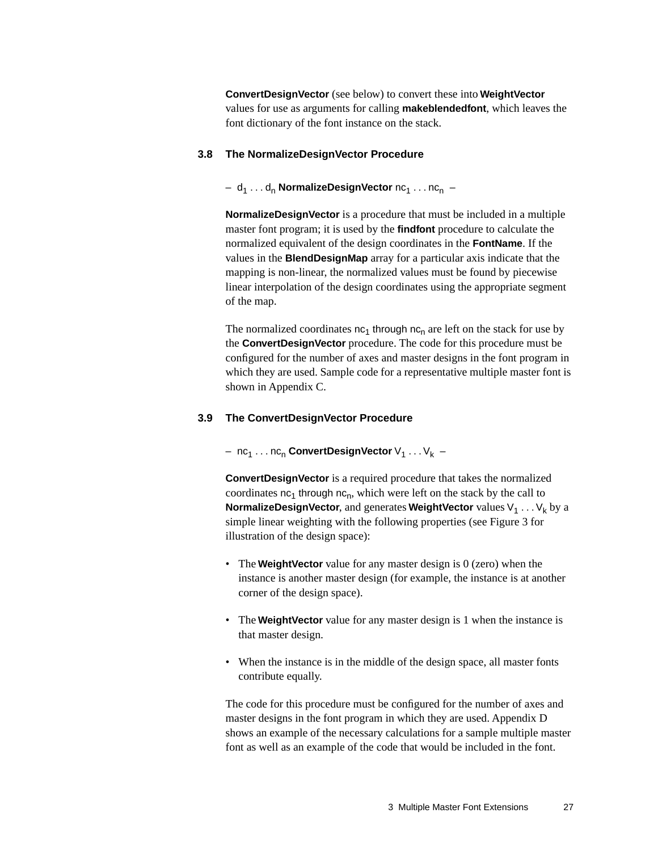<span id="page-26-7"></span><span id="page-26-4"></span><span id="page-26-2"></span>**ConvertDesignVector** (see below) to convert these into **WeightVector** values for use as arguments for calling **makeblendedfont**, which leaves the font dictionary of the font instance on the stack.

#### <span id="page-26-0"></span>**3.8 The NormalizeDesignVector Procedure**

#### - d<sub>1</sub> . . . d<sub>n</sub> NormalizeDesignVector nc<sub>1</sub> . . . nc<sub>n</sub> -

<span id="page-26-5"></span><span id="page-26-3"></span>**NormalizeDesignVector** is a procedure that must be included in a multiple master font program; it is used by the **findfont** procedure to calculate the normalized equivalent of the design coordinates in the **FontName**. If the values in the **BlendDesignMap** array for a particular axis indicate that the mapping is non-linear, the normalized values must be found by piecewise linear interpolation of the design coordinates using the appropriate segment of the map.

The normalized coordinates  $nc_1$  through  $nc_n$  are left on the stack for use by the **ConvertDesignVector** procedure. The code for this procedure must be configured for the number of axes and master designs in the font program in which they are used. Sample code for a representative multiple master font is shown in Appendix C.

#### <span id="page-26-1"></span>**3.9 The ConvertDesignVector Procedure**

#### $-$  nc<sub>1</sub> . . . nc<sub>n</sub> ConvertDesignVector  $V_1$  . . .  $V_k$  –

**ConvertDesignVector** is a required procedure that takes the normalized coordinates  $nc_1$  through  $nc_n$ , which were left on the stack by the call to **NormalizeDesignVector**, and generates **WeightVector** values  $V_1 \ldots V_k$  by a simple linear weighting with the following properties (see [Figure 3](#page-16-2) for illustration of the design space):

- The **WeightVector** value for any master design is 0 (zero) when the instance is another master design (for example, the instance is at another corner of the design space).
- <span id="page-26-6"></span>• The **WeightVector** value for any master design is 1 when the instance is that master design.
- When the instance is in the middle of the design space, all master fonts contribute equally.

The code for this procedure must be configured for the number of axes and master designs in the font program in which they are used. Appendix D shows an example of the necessary calculations for a sample multiple master font as well as an example of the code that would be included in the font.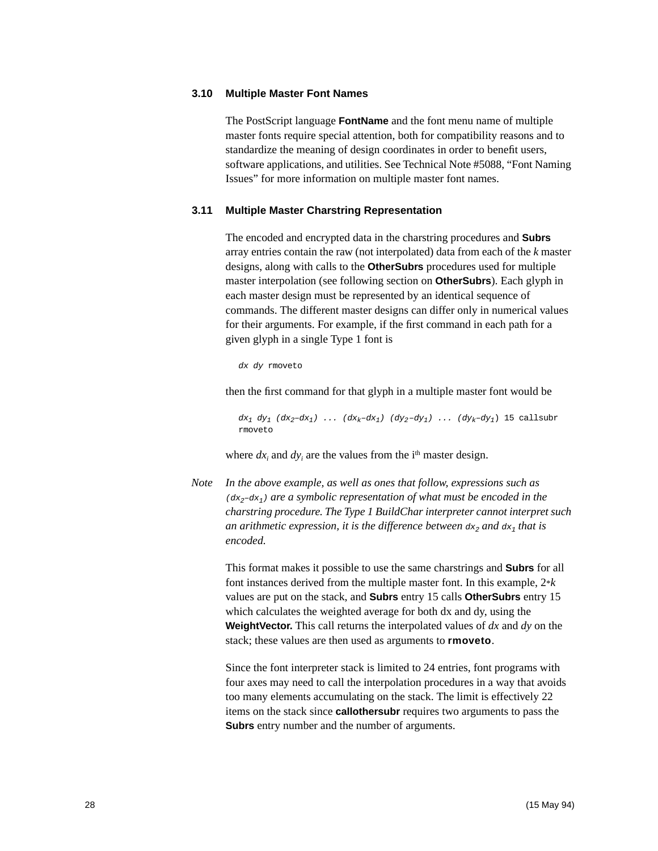#### <span id="page-27-0"></span>**3.10 Multiple Master Font Names**

<span id="page-27-3"></span><span id="page-27-2"></span>The PostScript language **FontName** and the font menu name of multiple master fonts require special attention, both for compatibility reasons and to standardize the meaning of design coordinates in order to benefit users, software applications, and utilities. See Technical Note #5088, "Font Naming Issues" for more information on multiple master font names.

#### <span id="page-27-1"></span>**3.11 Multiple Master Charstring Representation**

The encoded and encrypted data in the charstring procedures and **Subrs** array entries contain the raw (not interpolated) data from each of the *k* master designs, along with calls to the **OtherSubrs** procedures used for multiple master interpolation (see following section on **OtherSubrs**). Each glyph in each master design must be represented by an identical sequence of commands. The different master designs can differ only in numerical values for their arguments. For example, if the first command in each path for a given glyph in a single Type 1 font is

dx dy rmoveto

then the first command for that glyph in a multiple master font would be

 $dx_1 dy_1 (dx_2-dx_1) \ldots (dx_k-dx_1) (dy_2-dy_1) \ldots (dy_k-dy_1)$  15 callsubr rmoveto

where  $dx_i$  and  $dy_i$  are the values from the i<sup>th</sup> master design.

*Note In the above example, as well as ones that follow, expressions such as*   $(dx_2-dx_1)$  are a symbolic representation of what must be encoded in the *charstring procedure. The Type 1 BuildChar interpreter cannot interpret such*  an arithmetic expression, it is the difference between  $dx_2$  and  $dx_1$  that is *encoded.*

This format makes it possible to use the same charstrings and **Subrs** for all font instances derived from the multiple master font. In this example, 2\**k* values are put on the stack, and **Subrs** entry 15 calls **OtherSubrs** entry 15 which calculates the weighted average for both dx and dy, using the **WeightVector.** This call returns the interpolated values of *dx* and *dy* on the stack; these values are then used as arguments to **rmoveto**.

Since the font interpreter stack is limited to 24 entries, font programs with four axes may need to call the interpolation procedures in a way that avoids too many elements accumulating on the stack. The limit is effectively 22 items on the stack since **callothersubr** requires two arguments to pass the **Subrs** entry number and the number of arguments.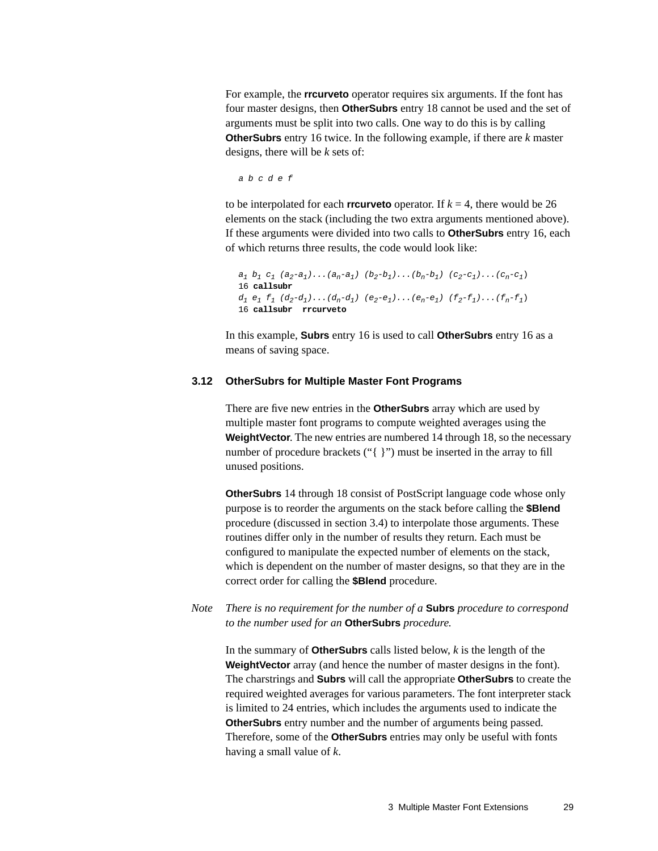For example, the **rrcurveto** operator requires six arguments. If the font has four master designs, then **OtherSubrs** entry 18 cannot be used and the set of arguments must be split into two calls. One way to do this is by calling **OtherSubrs** entry 16 twice. In the following example, if there are *k* master designs, there will be *k* sets of:

a b c d e f

to be interpolated for each **rrcurveto** operator. If  $k = 4$ , there would be 26 elements on the stack (including the two extra arguments mentioned above). If these arguments were divided into two calls to **OtherSubrs** entry 16, each of which returns three results, the code would look like:

```
a_1 b<sub>1</sub> c<sub>1</sub> (a_2-a_1)...(a_n-a_1) (b_2-b_1)...(b_n-b_1) (c_2-c_1)...(c_n-c_1)
16 callsubr
d_1 e_1 f_1 (d_2-d_1)...(d_n-d_1) (e_2-e_1)...(e_n-e_1) (f_2-f_1)...(f_n-f_1)16 callsubr rrcurveto
```
In this example, **Subrs** entry 16 is used to call **OtherSubrs** entry 16 as a means of saving space.

#### <span id="page-28-0"></span>**3.12 OtherSubrs for Multiple Master Font Programs**

There are five new entries in the **OtherSubrs** array which are used by multiple master font programs to compute weighted averages using the **WeightVector.** The new entries are numbered 14 through 18, so the necessary number of procedure brackets ("{ }") must be inserted in the array to fill unused positions.

<span id="page-28-1"></span>**OtherSubrs** 14 through 18 consist of PostScript language code whose only purpose is to reorder the arguments on the stack before calling the **\$Blend** procedure (discussed in [section 3.4](#page-18-0)) to interpolate those arguments. These routines differ only in the number of results they return. Each must be configured to manipulate the expected number of elements on the stack, which is dependent on the number of master designs, so that they are in the correct order for calling the **\$Blend** procedure.

*Note There is no requirement for the number of a* **Subrs** *procedure to correspond to the number used for an* **OtherSubrs** *procedure.*

In the summary of **OtherSubrs** calls listed below, *k* is the length of the **WeightVector** array (and hence the number of master designs in the font). The charstrings and **Subrs** will call the appropriate **OtherSubrs** to create the required weighted averages for various parameters. The font interpreter stack is limited to 24 entries, which includes the arguments used to indicate the **OtherSubrs** entry number and the number of arguments being passed. Therefore, some of the **OtherSubrs** entries may only be useful with fonts having a small value of *k*.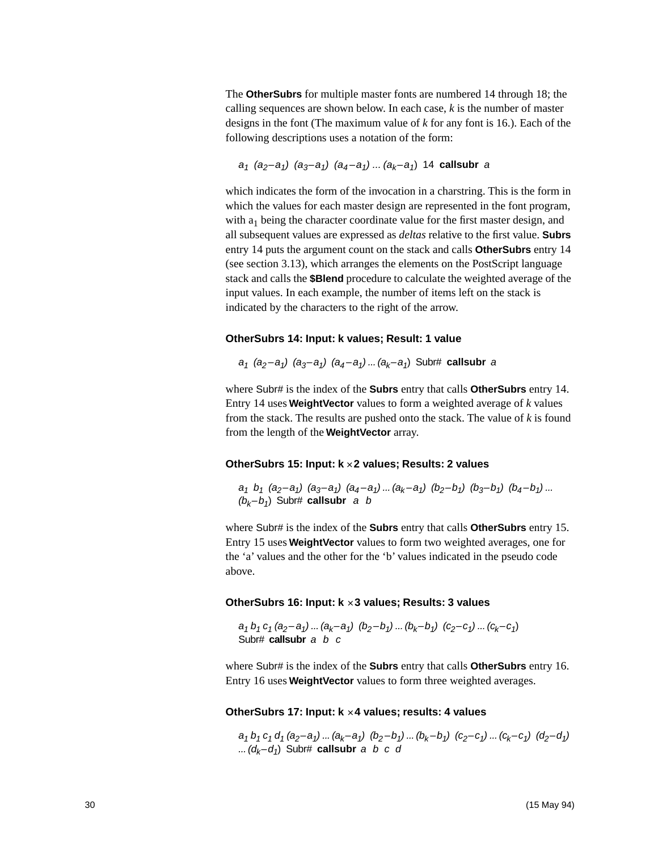The **OtherSubrs** for multiple master fonts are numbered 14 through 18; the calling sequences are shown below. In each case, *k* is the number of master designs in the font (The maximum value of *k* for any font is 16.). Each of the following descriptions uses a notation of the form:

 $a_1$  (a<sub>2</sub>–a<sub>1</sub>) (a<sub>3</sub>–a<sub>1</sub>) (a<sub>4</sub>–a<sub>1</sub>) ... (a<sub>k</sub>–a<sub>1</sub>) 14 **callsubr** a

which indicates the form of the invocation in a charstring. This is the form in which the values for each master design are represented in the font program, with  $a_1$  being the character coordinate value for the first master design, and all subsequent values are expressed as *deltas* relative to the first value. **Subrs** entry 14 puts the argument count on the stack and calls **OtherSubrs** entry 14 (see section [3.13](#page-30-0)), which arranges the elements on the PostScript language stack and calls the **\$Blend** procedure to calculate the weighted average of the input values. In each example, the number of items left on the stack is indicated by the characters to the right of the arrow.

#### **OtherSubrs 14: Input: k values; Result: 1 value**

 $a_1$  ( $a_2$ – $a_1$ ) ( $a_3$ – $a_1$ ) ( $a_4$ – $a_1$ ) ... ( $a_k$ – $a_1$ ) Subr# **callsubr** a

where Subr# is the index of the **Subrs** entry that calls **OtherSubrs** entry 14. Entry 14 uses **WeightVector** values to form a weighted average of *k* values from the stack. The results are pushed onto the stack. The value of *k* is found from the length of the **WeightVector** array.

#### **OtherSubrs 15: Input: k** × **2 values; Results: 2 values**

 $a_1$  b<sub>1</sub> (a<sub>2</sub>-a<sub>1</sub>) (a<sub>3</sub>-a<sub>1</sub>) (a<sub>4</sub>-a<sub>1</sub>) ... (a<sub>k</sub>-a<sub>1</sub>) (b<sub>2</sub>-b<sub>1</sub>) (b<sub>3</sub>-b<sub>1</sub>) (b<sub>4</sub>-b<sub>1</sub>) ...  $(b_k-b_1)$  Subr# **callsubr** a b

where Subr# is the index of the **Subrs** entry that calls **OtherSubrs** entry 15. Entry 15 uses **WeightVector** values to form two weighted averages, one for the 'a' values and the other for the 'b' values indicated in the pseudo code above.

#### **OtherSubrs 16: Input: k** × **3 values; Results: 3 values**

 $a_1 b_1 c_1 (a_2 - a_1) ... (a_k - a_1) (b_2 - b_1) ... (b_k - b_1) (c_2 - c_1) ... (c_k - c_1)$ Subr# **callsubr** a b c

where Subr# is the index of the **Subrs** entry that calls **OtherSubrs** entry 16. Entry 16 uses **WeightVector** values to form three weighted averages.

#### **OtherSubrs 17: Input: k** × **4 values; results: 4 values**

 $a_1 b_1 c_1 d_1 (a_2-a_1) ... (a_k-a_1) (b_2-b_1) ... (b_k-b_1) (c_2-c_1) ... (c_k-c_1) (d_2-d_1)$ ...  $(d_k-d_1)$  Subr# **callsubr** a b c d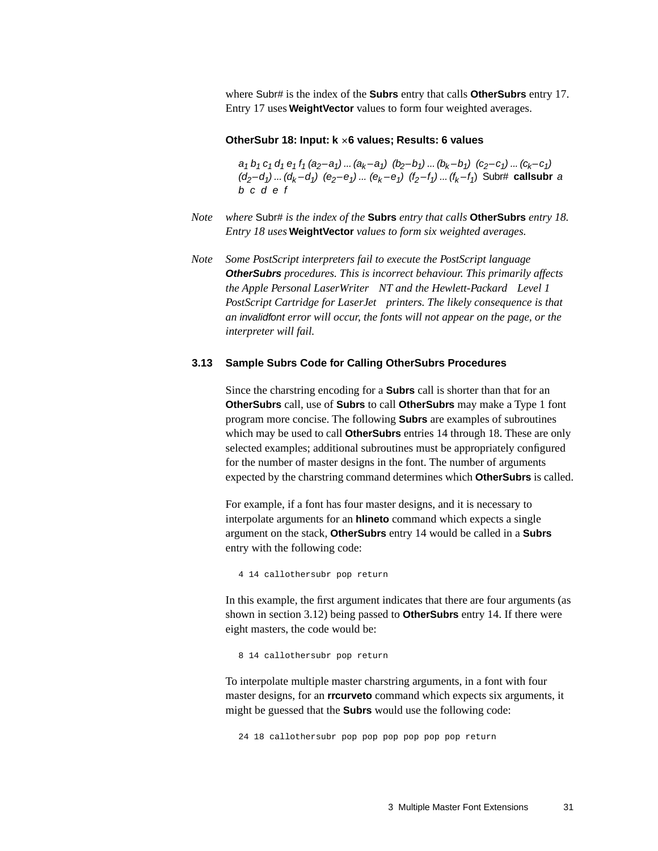where Subr# is the index of the **Subrs** entry that calls **OtherSubrs** entry 17. Entry 17 uses **WeightVector** values to form four weighted averages.

#### **OtherSubr 18: Input: k** × **6 values; Results: 6 values**

<span id="page-30-1"></span> $a_1 b_1 c_1 d_1 e_1 f_1 (a_2-a_1) ... (a_k-a_1) (b_2-b_1) ... (b_k-b_1) (c_2-c_1) ... (c_k-c_1)$  $(d_2-d_1)...(d_k-d_1)$   $(e_2-e_1)...(e_k-e_1)$   $(f_2-f_1)...(f_k-f_1)$  Subr# callsubr a b c d e f

- *Note where* Subr# *is the index of the* **Subrs** *entry that calls* **OtherSubrs** *entry 18. Entry 18 uses* **WeightVector** *values to form six weighted averages.*
- *Note Some PostScript interpreters fail to execute the PostScript language*  **OtherSubrs** *procedures. This is incorrect behaviour. This primarily affects the Apple Personal LaserWriter*<sup>®</sup> NT and the Hewlett-Packard<sup>®</sup> Level 1 *PostScript Cartridge for LaserJet*<sup>®</sup> printers. The likely consequence is that *an* invalidfont *error will occur, the fonts will not appear on the page, or the interpreter will fail.*

#### <span id="page-30-0"></span>**3.13 Sample Subrs Code for Calling OtherSubrs Procedures**

Since the charstring encoding for a **Subrs** call is shorter than that for an **OtherSubrs** call, use of **Subrs** to call **OtherSubrs** may make a Type 1 font program more concise. The following **Subrs** are examples of subroutines which may be used to call **OtherSubrs** entries 14 through 18. These are only selected examples; additional subroutines must be appropriately configured for the number of master designs in the font. The number of arguments expected by the charstring command determines which **OtherSubrs** is called.

For example, if a font has four master designs, and it is necessary to interpolate arguments for an **hlineto** command which expects a single argument on the stack, **OtherSubrs** entry 14 would be called in a **Subrs** entry with the following code:

4 14 callothersubr pop return

In this example, the first argument indicates that there are four arguments (as shown in [section 3.12](#page-28-0)) being passed to **OtherSubrs** entry 14. If there were eight masters, the code would be:

8 14 callothersubr pop return

To interpolate multiple master charstring arguments, in a font with four master designs, for an **rrcurveto** command which expects six arguments, it might be guessed that the **Subrs** would use the following code:

24 18 callothersubr pop pop pop pop pop pop return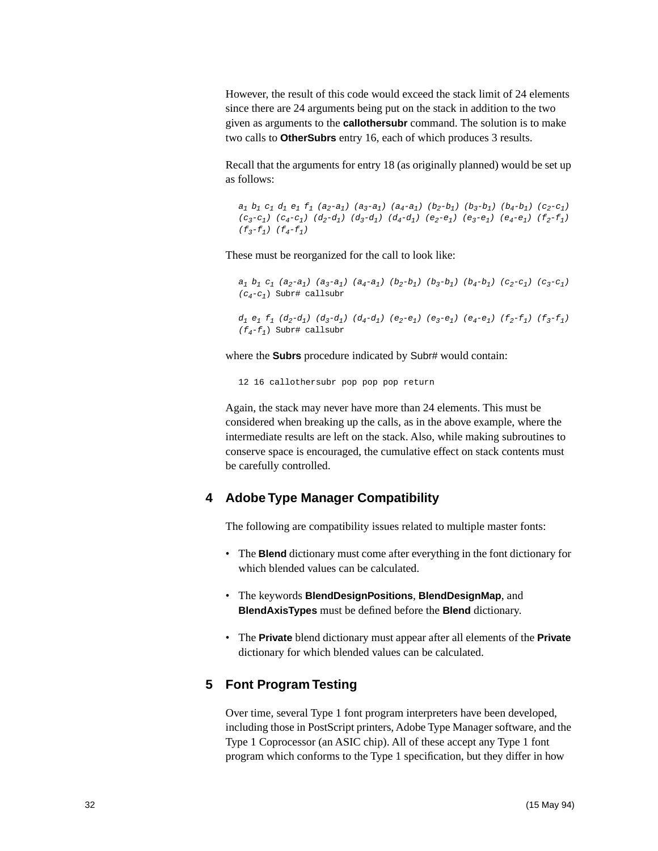However, the result of this code would exceed the stack limit of 24 elements since there are 24 arguments being put on the stack in addition to the two given as arguments to the **callothersubr** command. The solution is to make two calls to **OtherSubrs** entry 16, each of which produces 3 results.

Recall that the arguments for entry 18 (as originally planned) would be set up as follows:

 $a_1$   $b_1$   $c_1$   $d_1$   $e_1$   $f_1$   $(a_2-a_1)$   $(a_3-a_1)$   $(a_4-a_1)$   $(b_2-b_1)$   $(b_3-b_1)$   $(b_4-b_1)$   $(c_2-c_1)$  $(c_3-c_1)(c_4-c_1)(d_2-d_1)(d_3-d_1)(d_4-d_1)(e_2-e_1)(e_3-e_1)(e_4-e_1)(f_2-f_1)$  $(f_{3}-f_{1})$   $(f_{4}-f_{1})$ 

These must be reorganized for the call to look like:

```
a_1 b_1 c_1 (a_2-a_1) (a_3-a_1) (a_4-a_1) (b_2-b_1) (b_3-b_1) (b_4-b_1) (c_2-c_1) (c_3-c_1)(c_4-c_1) Subr# callsubr
```

```
d_1 e_1 f_1 (d_2-d_1) (d_3-d_1) (d_4-d_1) (e_2-e_1) (e_3-e_1) (e_4-e_1) (f_2-f_1) (f_3-f_1)(f_4-f_1) Subr# callsubr
```
<span id="page-31-4"></span>where the **Subrs** procedure indicated by Subr# would contain:

<span id="page-31-2"></span>12 16 callothersubr pop pop pop return

Again, the stack may never have more than 24 elements. This must be considered when breaking up the calls, as in the above example, where the intermediate results are left on the stack. Also, while making subroutines to conserve space is encouraged, the cumulative effect on stack contents must be carefully controlled.

#### <span id="page-31-5"></span><span id="page-31-0"></span>**4 Adobe Type Manager Compatibility**

<span id="page-31-3"></span>The following are compatibility issues related to multiple master fonts:

- The **Blend** dictionary must come after everything in the font dictionary for which blended values can be calculated.
- The keywords **BlendDesignPositions**, **BlendDesignMap**, and **BlendAxisTypes** must be defined before the **Blend** dictionary.
- The **Private** blend dictionary must appear after all elements of the **Private** dictionary for which blended values can be calculated.

#### <span id="page-31-1"></span>**5 Font Program Testing**

Over time, several Type 1 font program interpreters have been developed, including those in PostScript printers, Adobe Type Manager software, and the Type 1 Coprocessor (an ASIC chip). All of these accept any Type 1 font program which conforms to the Type 1 specification, but they differ in how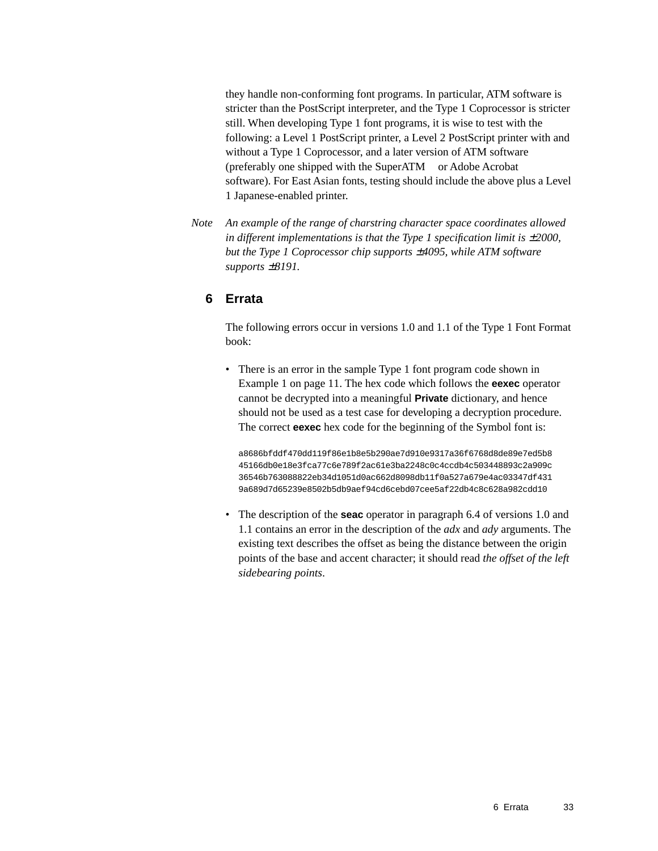they handle non-conforming font programs. In particular, ATM software is stricter than the PostScript interpreter, and the Type 1 Coprocessor is stricter still. When developing Type 1 font programs, it is wise to test with the following: a Level 1 PostScript printer, a Level 2 PostScript printer with and without a Type 1 Coprocessor, and a later version of ATM software (preferably one shipped with the SuperATM<sup>TM</sup> or Adobe Acrobat<sup>TM</sup> software). For East Asian fonts, testing should include the above plus a Level 1 Japanese-enabled printer.

*Note An example of the range of charstring character space coordinates allowed in different implementations is that the Type 1 specification limit is*  $±2000$ , *but the Type 1 Coprocessor chip supports* ±*4095, while ATM software supports* ±*8191.* 

#### <span id="page-32-0"></span>**6 Errata**

<span id="page-32-1"></span>The following errors occur in versions 1.0 and 1.1 of the Type 1 Font Format book:

<span id="page-32-2"></span>• There is an error in the sample Type 1 font program code shown in Example 1 on page 11. The hex code which follows the **eexec** operator cannot be decrypted into a meaningful **Private** dictionary, and hence should not be used as a test case for developing a decryption procedure. The correct **eexec** hex code for the beginning of the Symbol font is:

a8686bfddf470dd119f86e1b8e5b290ae7d910e9317a36f6768d8de89e7ed5b8 45166db0e18e3fca77c6e789f2ac61e3ba2248c0c4ccdb4c503448893c2a909c 36546b763088822eb34d1051d0ac662d8098db11f0a527a679e4ac03347df431 9a689d7d65239e8502b5db9aef94cd6cebd07cee5af22db4c8c628a982cdd10

• The description of the **seac** operator in paragraph 6.4 of versions 1.0 and 1.1 contains an error in the description of the *adx* and *ady* arguments. The existing text describes the offset as being the distance between the origin points of the base and accent character; it should read *the offset of the left sidebearing points*.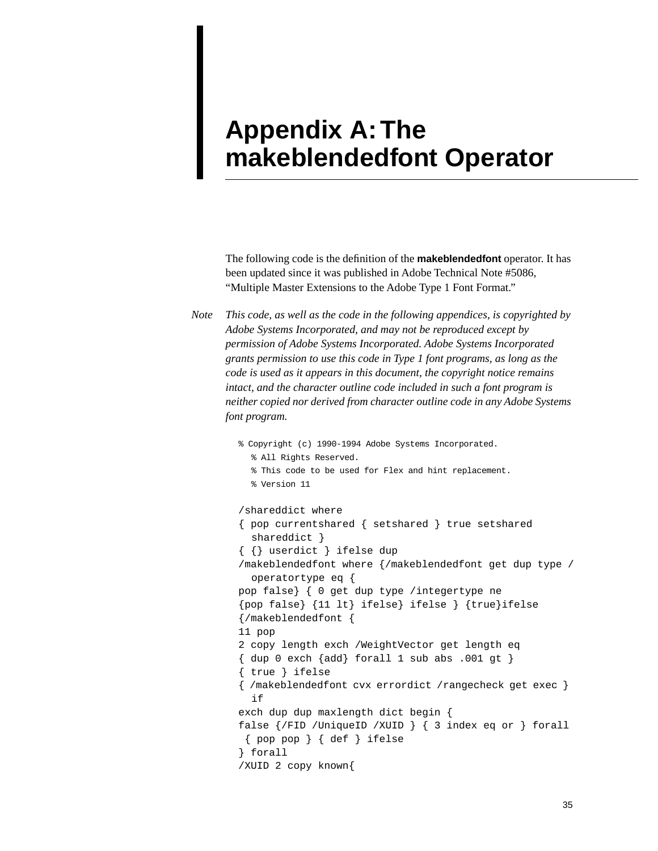## <span id="page-34-1"></span><span id="page-34-0"></span>**Appendix A: The makeblendedfont Operator**

The following code is the definition of the **makeblendedfont** operator. It has been updated since it was published in Adobe Technical Note #5086, "Multiple Master Extensions to the Adobe Type 1 Font Format."

*Note This code, as well as the code in the following appendices, is copyrighted by Adobe Systems Incorporated, and may not be reproduced except by permission of Adobe Systems Incorporated. Adobe Systems Incorporated grants permission to use this code in Type 1 font programs, as long as the code is used as it appears in this document, the copyright notice remains intact, and the character outline code included in such a font program is neither copied nor derived from character outline code in any Adobe Systems font program.*

```
% Copyright (c) 1990-1994 Adobe Systems Incorporated.
  % All Rights Reserved.
  % This code to be used for Flex and hint replacement.
  % Version 11
/shareddict where
{ pop currentshared { setshared } true setshared 
  shareddict }
{ {} userdict } ifelse dup
/makeblendedfont where {/makeblendedfont get dup type /
  operatortype eq {
pop false} { 0 get dup type /integertype ne
{pop false} {11 lt} ifelse} ifelse } {true}ifelse
{/makeblendedfont {
11 pop
2 copy length exch /WeightVector get length eq
{ dup 0 exch {add} forall 1 sub abs .001 gt }
{ true } ifelse
{ /makeblendedfont cvx errordict /rangecheck get exec } 
  if
exch dup dup maxlength dict begin {
false {/FID /UniqueID /XUID } { 3 index eq or } forall
 { pop pop } { def } ifelse
} forall
/XUID 2 copy known{
```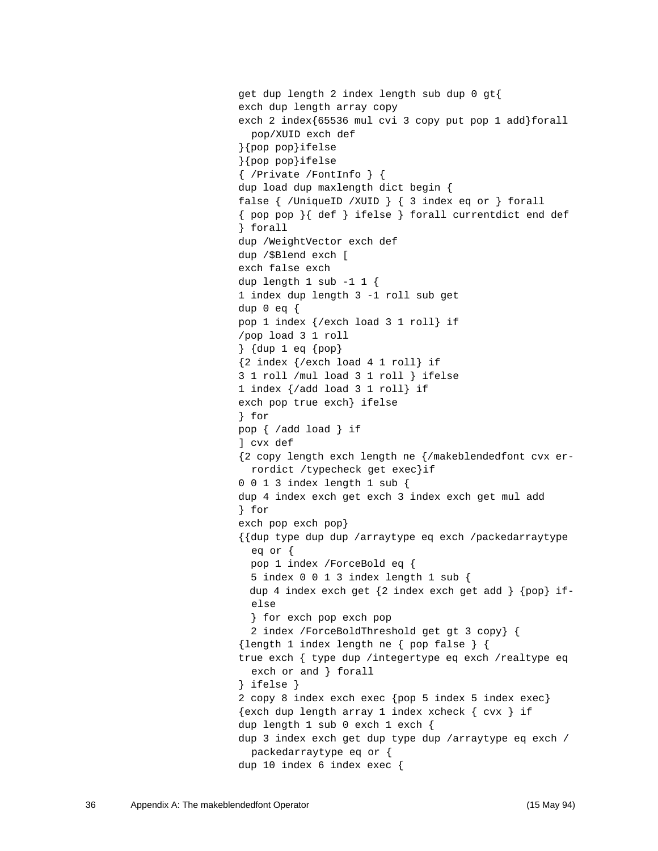```
get dup length 2 index length sub dup 0 gt{
exch dup length array copy
exch 2 index{65536 mul cvi 3 copy put pop 1 add}forall 
  pop/XUID exch def
}{pop pop}ifelse
}{pop pop}ifelse
{ /Private /FontInfo } {
dup load dup maxlength dict begin {
false { /UniqueID /XUID } { 3 index eq or } forall
{ pop pop }{ def } ifelse } forall currentdict end def
} forall
dup /WeightVector exch def
dup /$Blend exch [
exch false exch
dup length 1 sub -1 1 {
1 index dup length 3 -1 roll sub get
dup 0 eq \{pop 1 index {/exch load 3 1 roll} if
/pop load 3 1 roll
} {dup 1 eq {pop}
{2 index {/exch load 4 1 roll} if
3 1 roll /mul load 3 1 roll } ifelse
1 index {/add load 3 1 roll} if
exch pop true exch} ifelse
} for
pop { /add load } if
] cvx def
{2 copy length exch length ne {/makeblendedfont cvx er-
  rordict /typecheck get exec}if
0 0 1 3 index length 1 sub {
dup 4 index exch get exch 3 index exch get mul add
} for
exch pop exch pop}
{{dup type dup dup /arraytype eq exch /packedarraytype 
  eq or {
   pop 1 index /ForceBold eq {
   5 index 0 0 1 3 index length 1 sub {
  dup 4 index exch get {2 index exch get add } {pop} if-
  else
   } for exch pop exch pop
   2 index /ForceBoldThreshold get gt 3 copy} {
{length 1 index length ne { pop false } {
true exch { type dup /integertype eq exch /realtype eq 
  exch or and } forall
} ifelse }
2 copy 8 index exch exec {pop 5 index 5 index exec}
\{exch \text{dup length array 1 index xcheck } \{ cvx \} ifdup length 1 sub 0 exch 1 exch {
dup 3 index exch get dup type dup /arraytype eq exch /
  packedarraytype eq or {
dup 10 index 6 index exec {
```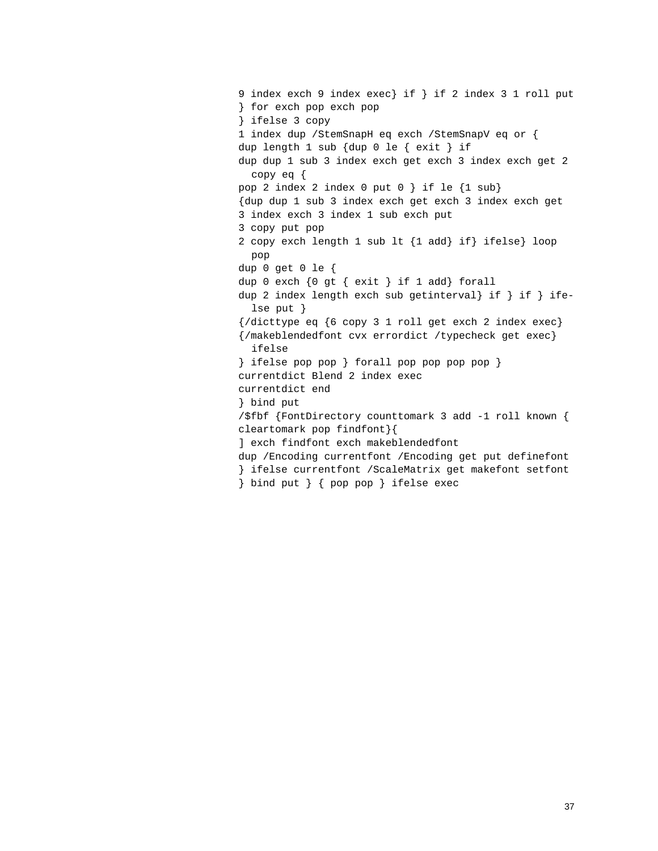```
9 index exch 9 index exec} if } if 2 index 3 1 roll put
} for exch pop exch pop
} ifelse 3 copy
1 index dup /StemSnapH eq exch /StemSnapV eq or {
dup length 1 sub {dup 0 le { exit } if
dup dup 1 sub 3 index exch get exch 3 index exch get 2 
  copy eq {
pop 2 index 2 index 0 put 0 } if le {1 sub}
{dup dup 1 sub 3 index exch get exch 3 index exch get
3 index exch 3 index 1 sub exch put
3 copy put pop
2 copy exch length 1 sub lt {1 add} if} ifelse} loop 
  pop
dup 0 get 0 le {
dup 0 exch {0 gt { exit } if 1 add} forall
dup 2 index length exch sub getinterval} if } if } ife-
  lse put }
{\lbrace /dicttype\ eq\ }\ 6\ copy\ 3\ 1\ roll\ get\ exch\ 2\ index\ exec\rbrace }{/makeblendedfont cvx errordict /typecheck get exec} 
  ifelse
} ifelse pop pop } forall pop pop pop pop }
currentdict Blend 2 index exec
currentdict end
} bind put
/$fbf {FontDirectory counttomark 3 add -1 roll known {
cleartomark pop findfont}{
] exch findfont exch makeblendedfont
dup /Encoding currentfont /Encoding get put definefont
} ifelse currentfont /ScaleMatrix get makefont setfont
} bind put } { pop pop } ifelse exec
```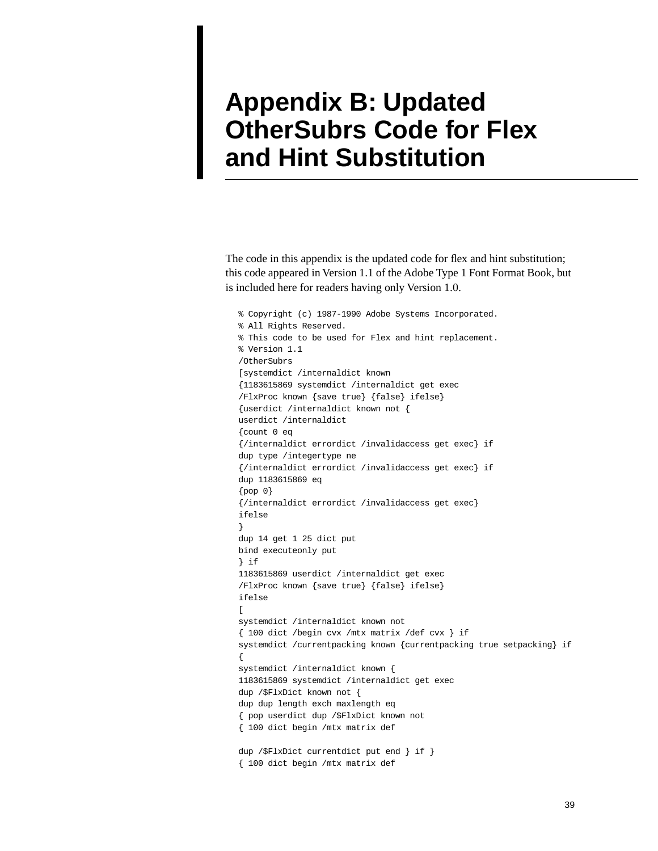## <span id="page-38-1"></span><span id="page-38-0"></span>**Appendix B: Updated OtherSubrs Code for Flex and Hint Substitution**

The code in this appendix is the updated code for flex and hint substitution; this code appeared in Version 1.1 of the Adobe Type 1 Font Format Book, but is included here for readers having only Version 1.0.

% Copyright (c) 1987-1990 Adobe Systems Incorporated. % All Rights Reserved. % This code to be used for Flex and hint replacement. % Version 1.1 /OtherSubrs [systemdict /internaldict known {1183615869 systemdict /internaldict get exec /FlxProc known {save true} {false} ifelse} {userdict /internaldict known not { userdict /internaldict {count 0 eq {/internaldict errordict /invalidaccess get exec} if dup type /integertype ne {/internaldict errordict /invalidaccess get exec} if dup 1183615869 eq {pop 0} {/internaldict errordict /invalidaccess get exec} ifelse } dup 14 get 1 25 dict put bind executeonly put } if 1183615869 userdict /internaldict get exec /FlxProc known {save true} {false} ifelse} ifelse  $\sqrt{2}$ systemdict /internaldict known not { 100 dict /begin cvx /mtx matrix /def cvx } if systemdict /currentpacking known {currentpacking true setpacking} if { systemdict /internaldict known { 1183615869 systemdict /internaldict get exec dup /\$FlxDict known not { dup dup length exch maxlength eq { pop userdict dup /\$FlxDict known not { 100 dict begin /mtx matrix def dup /\$FlxDict currentdict put end } if } { 100 dict begin /mtx matrix def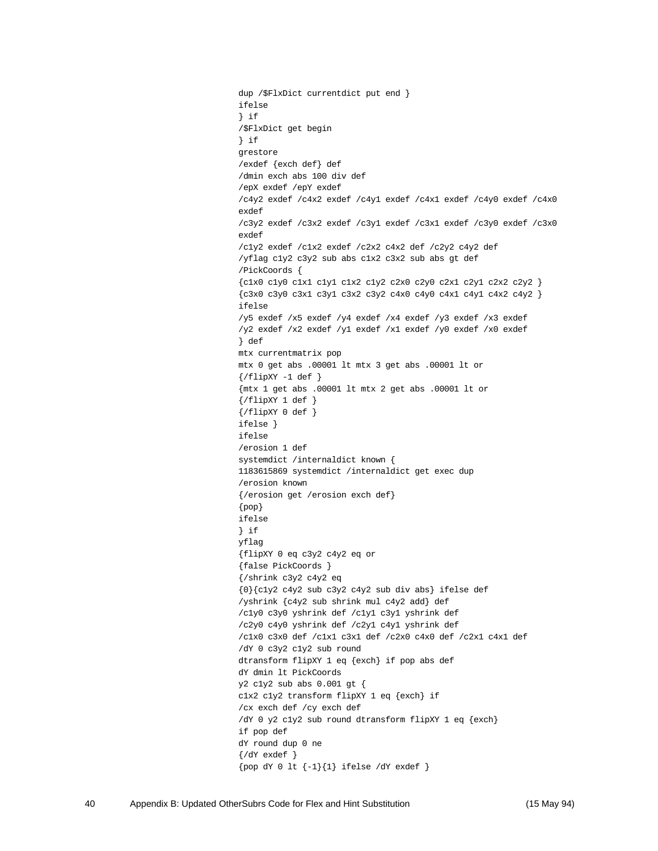dup /\$FlxDict currentdict put end } ifelse } if /\$FlxDict get begin } if grestore /exdef {exch def} def /dmin exch abs 100 div def /epX exdef /epY exdef /c4y2 exdef /c4x2 exdef /c4y1 exdef /c4x1 exdef /c4y0 exdef /c4x0 exdef /c3y2 exdef /c3x2 exdef /c3y1 exdef /c3x1 exdef /c3y0 exdef /c3x0 exdef /c1y2 exdef /c1x2 exdef /c2x2 c4x2 def /c2y2 c4y2 def /yflag c1y2 c3y2 sub abs c1x2 c3x2 sub abs gt def /PickCoords { {c1x0 c1y0 c1x1 c1y1 c1x2 c1y2 c2x0 c2y0 c2x1 c2y1 c2x2 c2y2 } {c3x0 c3y0 c3x1 c3y1 c3x2 c3y2 c4x0 c4y0 c4x1 c4y1 c4x2 c4y2 } ifelse /y5 exdef /x5 exdef /y4 exdef /x4 exdef /y3 exdef /x3 exdef /y2 exdef /x2 exdef /y1 exdef /x1 exdef /y0 exdef /x0 exdef } def mtx currentmatrix pop mtx 0 get abs .00001 lt mtx 3 get abs .00001 lt or  $\{ / \text{flipXY} - 1 \text{ def} \}$ {mtx 1 get abs .00001 lt mtx 2 get abs .00001 lt or {/flipXY 1 def }  $\{ / \text{flipXY 0 def } \}$ ifelse } ifelse /erosion 1 def systemdict /internaldict known { 1183615869 systemdict /internaldict get exec dup /erosion known {/erosion get /erosion exch def} {pop} ifelse } if yflag {flipXY 0 eq c3y2 c4y2 eq or {false PickCoords } {/shrink c3y2 c4y2 eq {0}{c1y2 c4y2 sub c3y2 c4y2 sub div abs} ifelse def /yshrink {c4y2 sub shrink mul c4y2 add} def /c1y0 c3y0 yshrink def /c1y1 c3y1 yshrink def /c2y0 c4y0 yshrink def /c2y1 c4y1 yshrink def /c1x0 c3x0 def /c1x1 c3x1 def /c2x0 c4x0 def /c2x1 c4x1 def /dY 0 c3y2 c1y2 sub round dtransform flipXY 1 eq {exch} if pop abs def dY dmin lt PickCoords y2 c1y2 sub abs 0.001 gt { c1x2 c1y2 transform flipXY 1 eq {exch} if /cx exch def /cy exch def /dY 0 y2 c1y2 sub round dtransform flipXY 1 eq {exch} if pop def dY round dup 0 ne {/dY exdef }  $\{pop dY 0 l t {-1} | 1\}$  ifelse /dY exdef  $\}$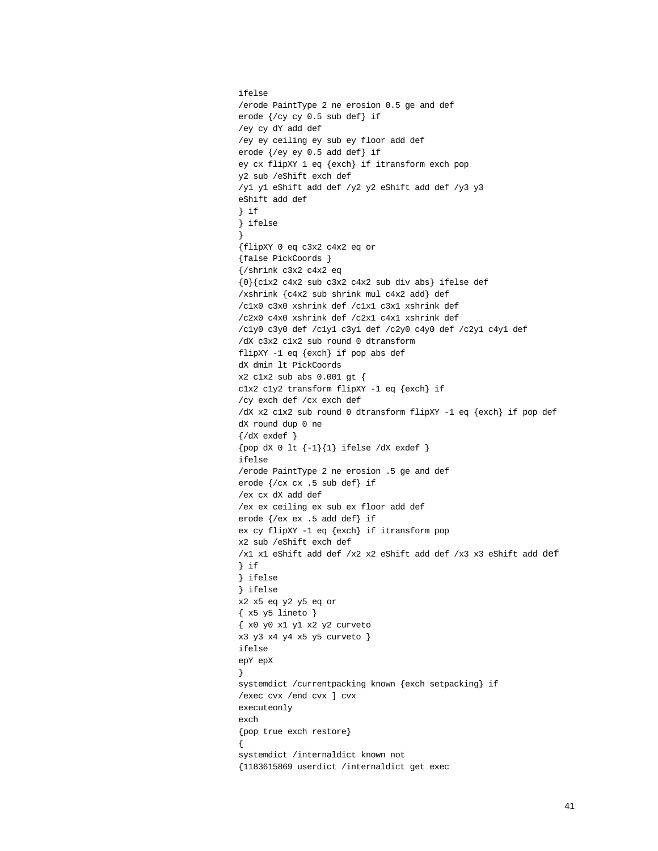```
ifelse
/erode PaintType 2 ne erosion 0.5 ge and def
erode {/cy cy 0.5 sub def} if
/ey cy dY add def
/ey ey ceiling ey sub ey floor add def
erode {/ey ey 0.5 add def} if
ey cx flipXY 1 eq {exch} if itransform exch pop
y2 sub /eShift exch def
/y1 y1 eShift add def /y2 y2 eShift add def /y3 y3 
eShift add def
} if
} ifelse
}
{flipXY 0 eq c3x2 c4x2 eq or
{false PickCoords }
{/shrink c3x2 c4x2 eq
{0}{c1x2 c4x2 sub c3x2 c4x2 sub div abs} ifelse def
/xshrink {c4x2 sub shrink mul c4x2 add} def
/c1x0 c3x0 xshrink def /c1x1 c3x1 xshrink def
/c2x0 c4x0 xshrink def /c2x1 c4x1 xshrink def
/c1y0 c3y0 def /c1y1 c3y1 def /c2y0 c4y0 def /c2y1 c4y1 def
/dX c3x2 c1x2 sub round 0 dtransform
flipXY -1 eq {exch} if pop abs def
dX dmin lt PickCoords
x2 c1x2 sub abs 0.001 gt {
c1x2 c1y2 transform flipXY -1 eq {exch} if
/cy exch def /cx exch def
/dX x2 c1x2 sub round 0 dtransform flipXY -1 eq {exch} if pop def
dX round dup 0 ne
\{\text{/dX} \text{exdef} \}\{pop \, dx \, 0 \, It \{-1\}\{1\} \, if \, else \, dX \, exact \}ifelse
/erode PaintType 2 ne erosion .5 ge and def
erode {/cx cx .5 sub def} if
/ex cx dX add def
/ex ex ceiling ex sub ex floor add def
erode {/ex ex .5 add def} if
ex cy flipXY -1 eq {exch} if itransform pop
x2 sub /eShift exch def
/x1 x1 eShift add def /x2 x2 eShift add def /x3 x3 eShift add def
} if 
} ifelse
} ifelse
x2 x5 eq y2 y5 eq or
\{ x5 y5 line to \}{ x0 y0 x1 y1 x2 y2 curveto
x3 y3 x4 y4 x5 y5 curveto }
ifelse
epY epX
}
systemdict /currentpacking known {exch setpacking} if
/exec cvx /end cvx ] cvx 
executeonly
exch
{pop true exch restore}
{
systemdict /internaldict known not
{1183615869 userdict /internaldict get exec
```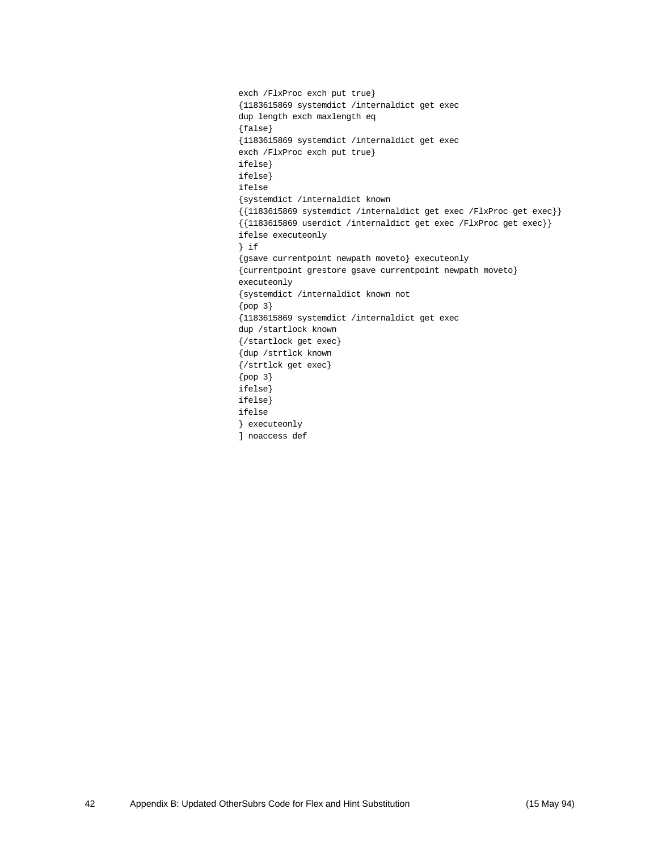exch /FlxProc exch put true} {1183615869 systemdict /internaldict get exec dup length exch maxlength eq {false} {1183615869 systemdict /internaldict get exec exch /FlxProc exch put true} ifelse} ifelse} ifelse {systemdict /internaldict known {{1183615869 systemdict /internaldict get exec /FlxProc get exec}} {{1183615869 userdict /internaldict get exec /FlxProc get exec}} ifelse executeonly } if {gsave currentpoint newpath moveto} executeonly {currentpoint grestore gsave currentpoint newpath moveto} executeonly {systemdict /internaldict known not {pop 3} {1183615869 systemdict /internaldict get exec dup /startlock known {/startlock get exec} {dup /strtlck known {/strtlck get exec} {pop 3} ifelse} ifelse} ifelse } executeonly ] noaccess def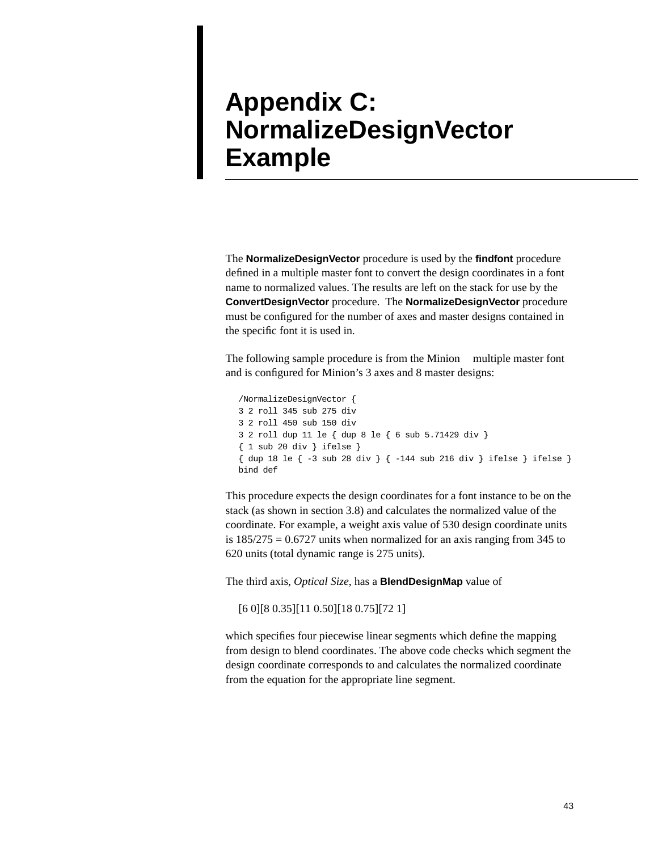## <span id="page-42-0"></span>**Appendix C: NormalizeDesignVector Example**

The **NormalizeDesignVector** procedure is used by the **findfont** procedure defined in a multiple master font to convert the design coordinates in a font name to normalized values. The results are left on the stack for use by the **ConvertDesignVector** procedure. The **NormalizeDesignVector** procedure must be configured for the number of axes and master designs contained in the specific font it is used in.

The following sample procedure is from the Minion™ multiple master font and is configured for Minion's 3 axes and 8 master designs:

```
/NormalizeDesignVector { 
3 2 roll 345 sub 275 div 
3 2 roll 450 sub 150 div 
3 2 roll dup 11 le { dup 8 le { 6 sub 5.71429 div } 
{ 1 sub 20 div } ifelse } 
{ dup 18 le { -3 sub 28 div } { -144 sub 216 div } ifelse } ifelse } 
bind def
```
This procedure expects the design coordinates for a font instance to be on the stack (as shown in section [3.8](#page-26-2)) and calculates the normalized value of the coordinate. For example, a weight axis value of 530 design coordinate units is  $185/275 = 0.6727$  units when normalized for an axis ranging from 345 to 620 units (total dynamic range is 275 units).

The third axis, *Optical Size*, has a **BlendDesignMap** value of

[6 0][8 0.35][11 0.50][18 0.75][72 1]

which specifies four piecewise linear segments which define the mapping from design to blend coordinates. The above code checks which segment the design coordinate corresponds to and calculates the normalized coordinate from the equation for the appropriate line segment.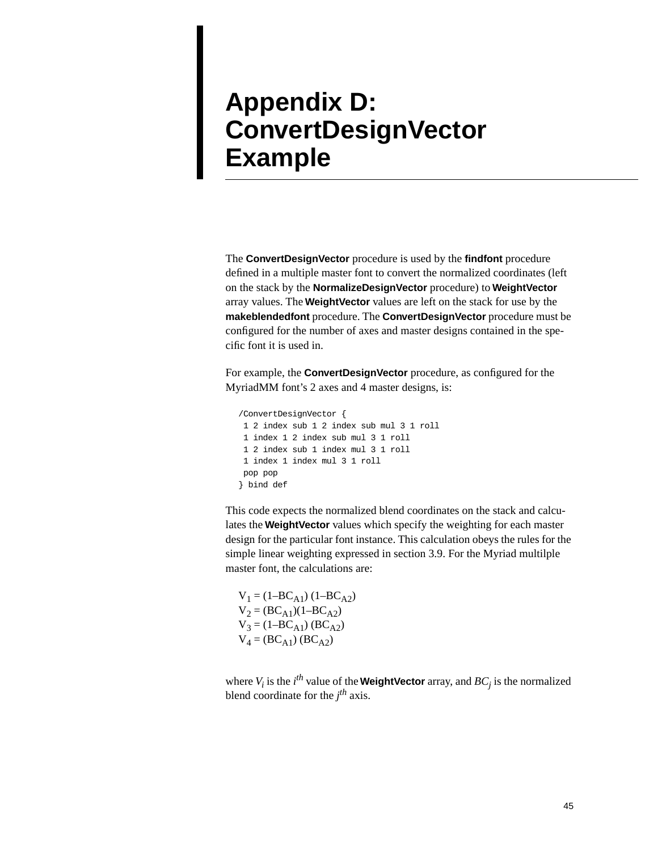## <span id="page-44-0"></span>**Appendix D: ConvertDesignVector Example**

The **ConvertDesignVector** procedure is used by the **findfont** procedure defined in a multiple master font to convert the normalized coordinates (left on the stack by the **NormalizeDesignVector** procedure) to **WeightVector** array values. The **WeightVector** values are left on the stack for use by the **makeblendedfont** procedure. The **ConvertDesignVector** procedure must be configured for the number of axes and master designs contained in the specific font it is used in.

For example, the **ConvertDesignVector** procedure, as configured for the MyriadMM font's 2 axes and 4 master designs, is:

```
/ConvertDesignVector {
 1 2 index sub 1 2 index sub mul 3 1 roll
 1 index 1 2 index sub mul 3 1 roll
 1 2 index sub 1 index mul 3 1 roll
 1 index 1 index mul 3 1 roll
 pop pop
} bind def
```
This code expects the normalized blend coordinates on the stack and calculates the **WeightVector** values which specify the weighting for each master design for the particular font instance. This calculation obeys the rules for the simple linear weighting expressed in section [3.9](#page-26-3). For the Myriad multilple master font, the calculations are:

 $V_1 = (1 - BC_{A1}) (1 - BC_{A2})$  $V_2 = (BC_{A1})(1-BC_{A2})$  $V_3 = (1 - BC_{A1}) (BC_{A2})$  $V_4 = (BC_{A1}) (BC_{A2})$ 

where  $V_i$  is the *i*<sup>th</sup> value of the **WeightVector** array, and  $BC_j$  is the normalized blend coordinate for the *j th* axis.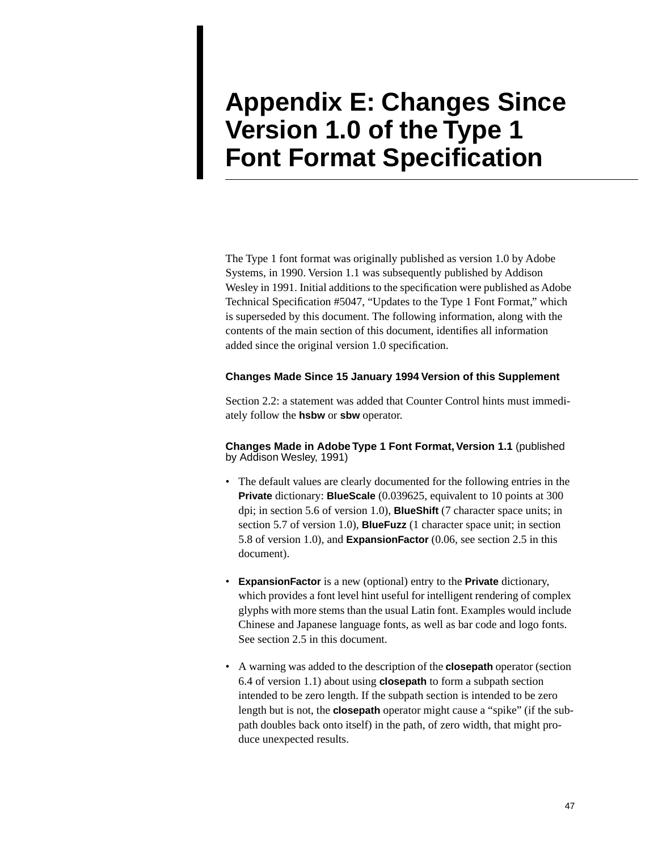## <span id="page-46-0"></span>**Appendix E: Changes Since Version 1.0 of the Type 1 Font Format Specification**

The Type 1 font format was originally published as version 1.0 by Adobe Systems, in 1990. Version 1.1 was subsequently published by Addison Wesley in 1991. Initial additions to the specification were published as Adobe Technical Specification #5047, "Updates to the Type 1 Font Format," which is superseded by this document. The following information, along with the contents of the main section of this document, identifies all information added since the original version 1.0 specification.

#### <span id="page-46-5"></span><span id="page-46-3"></span><span id="page-46-2"></span><span id="page-46-1"></span>**Changes Made Since 15 January 1994 Version of this Supplement**

Section [2.2](#page-8-1): a statement was added that Counter Control hints must immediately follow the **hsbw** or **sbw** operator.

**Changes Made in Adobe Type 1 Font Format, Version 1.1** (published by Addison Wesley, 1991)

- <span id="page-46-4"></span>• The default values are clearly documented for the following entries in the **Private** dictionary: **BlueScale** (0.039625, equivalent to 10 points at 300 dpi; in section 5.6 of version 1.0), **BlueShift** (7 character space units; in section 5.7 of version 1.0), **BlueFuzz** (1 character space unit; in section 5.8 of version 1.0), and **ExpansionFactor** (0.06, see [section 2.5](#page-11-2) in this document).
- **ExpansionFactor** is a new (optional) entry to the **Private** dictionary, which provides a font level hint useful for intelligent rendering of complex glyphs with more stems than the usual Latin font. Examples would include Chinese and Japanese language fonts, as well as bar code and logo fonts. See [section 2.5](#page-11-2) in this document.
- A warning was added to the description of the **closepath** operator (section 6.4 of version 1.1) about using **closepath** to form a subpath section intended to be zero length. If the subpath section is intended to be zero length but is not, the **closepath** operator might cause a "spike" (if the subpath doubles back onto itself) in the path, of zero width, that might produce unexpected results.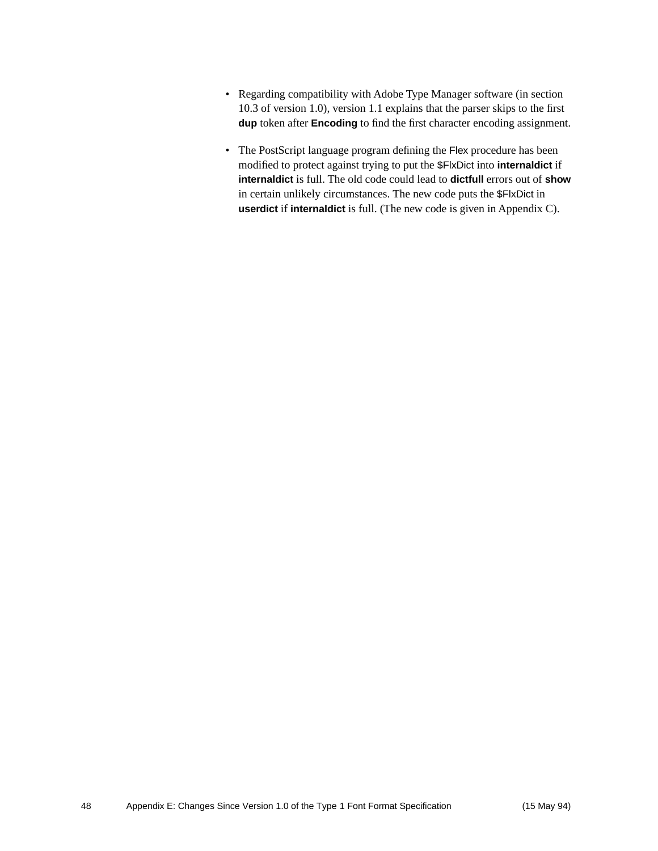- <span id="page-47-1"></span><span id="page-47-0"></span>• Regarding compatibility with Adobe Type Manager software (in section 10.3 of version 1.0), version 1.1 explains that the parser skips to the first **dup** token after **Encoding** to find the first character encoding assignment.
- The PostScript language program defining the Flex procedure has been modified to protect against trying to put the \$FlxDict into **internaldict** if **internaldict** is full. The old code could lead to **dictfull** errors out of **show** in certain unlikely circumstances. The new code puts the \$FlxDict in **userdict** if **internaldict** is full. (The new code is given in Appendix C).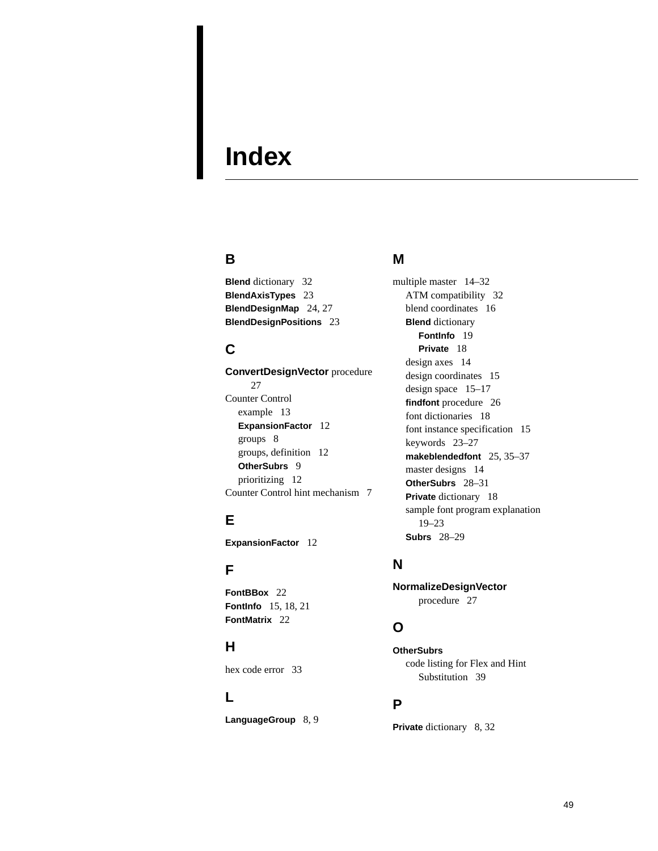## <span id="page-48-0"></span>**Index**

### **B**

**Blend** [dictionary 32](#page-31-2) **BlendAxisTypes** [23](#page-22-1) **BlendDesignMap** [24,](#page-23-1) [27](#page-26-4) **BlendDesignPositions** [23](#page-22-2)

### **C**

**ConvertDesignVector** [procedure](#page-26-5)  [27](#page-26-5) Counter Control [example 13](#page-12-2) **ExpansionFactor** [12](#page-11-3) [groups 8](#page-7-1) [groups, definition 12](#page-11-4) **OtherSubrs** [9](#page-8-1) [prioritizing 12](#page-11-5) [Counter Control hint mechanism 7](#page-6-2)

## **E**

**ExpansionFactor** [12](#page-11-6)

## **F**

**FontBBox** [22](#page-21-0) **FontInfo** [15,](#page-14-1) [18,](#page-17-1) [21](#page-20-0) **FontMatrix** [22](#page-21-1)

### **H**

[hex code error 33](#page-32-1)

### **L**

LanguageGroup [8,](#page-7-2) [9](#page-8-2)

### **M**

[multiple master 14–](#page-13-1)[32](#page-31-3) [ATM compatibility 32](#page-31-4) [blend coordinates 16](#page-15-0) **Blend** dictionary **FontInfo** [19](#page-18-2) **Private** [18](#page-17-2) [design axes 14](#page-13-2) [design coordinates 15](#page-14-2) [design space 15–](#page-14-3)[17](#page-16-3) **findfont** [procedure 26](#page-25-1) [font dictionaries 18](#page-17-3) [font instance specification 15](#page-14-4) [keywords 23–](#page-22-3)[27](#page-26-6) **makeblendedfont** [25,](#page-24-1) [35–](#page-34-1)[37](#page-36-0) [master designs 14](#page-13-3) **OtherSubrs** [28–](#page-27-2)[31](#page-30-1) **Private** [dictionary 18](#page-17-4) [sample font program explanation](#page-18-3)  [19–](#page-18-3)[23](#page-22-4) **Subrs** [28–](#page-27-3)[29](#page-28-1)

### **N**

**NormalizeDesignVector**  [procedure 27](#page-26-7)

## **O**

**OtherSubrs** [code listing for Flex and Hint](#page-38-1)  Substitution 39

### **P**

**Private** [dictionary 8,](#page-7-3) [32](#page-31-5)